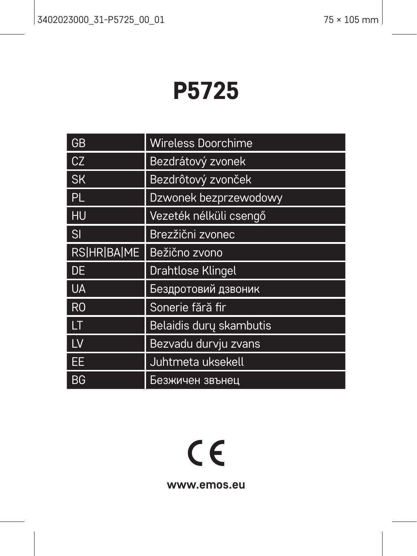# P5725

| GB                 | <b>Wireless Doorchime</b> |
|--------------------|---------------------------|
| CZ                 | Bezdrátový zvonek         |
| <b>SK</b>          | Bezdrôtový zvonček        |
| PL.                | Dzwonek bezprzewodowy     |
| HU                 | Vezeték nélküli csengő    |
| SI                 | Brezžični zvonec          |
| <b>RS HR BA ME</b> | Bežično zvono             |
|                    |                           |
| DE                 | Drahtlose Klingel         |
| <b>UA</b>          | Бездротовий дзвоник       |
| R <sub>0</sub>     | Sonerie fără fir          |
| LT                 | Belaidis dury skambutis   |
| 1V                 | Bezvadu durvju zvans      |
| EE                 | Juhtmeta uksekell         |

# $C<sub>f</sub>$

**www.emos.eu**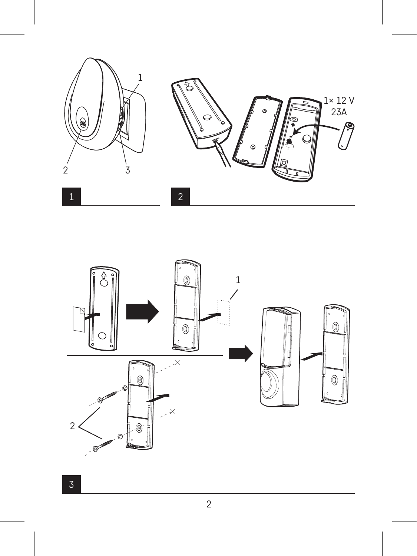

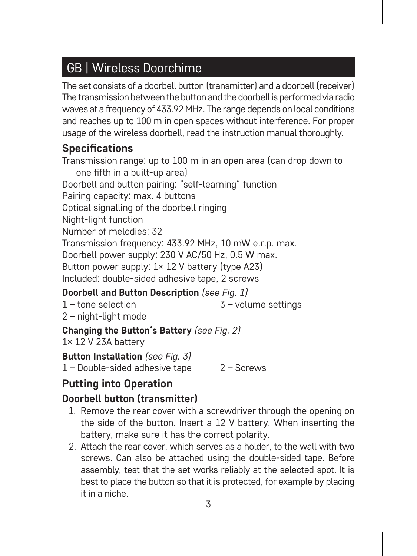# GB | Wireless Doorchime

The set consists of a doorbell button (transmitter) and a doorbell (receiver) The transmission between the button and the doorbell is performed via radio waves at a frequency of 433.92 MHz. The range depends on local conditions and reaches up to 100 m in open spaces without interference. For proper usage of the wireless doorbell, read the instruction manual thoroughly.

# **Specifications**

Transmission range: up to 100 m in an open area (can drop down to one fifth in a built-up area) Doorbell and button pairing: "self-learning" function Pairing capacity: max. 4 buttons Optical signalling of the doorbell ringing Night-light function Number of melodies: 32 Transmission frequency: 433.92 MHz, 10 mW e.r.p. max. Doorbell power supply: 230 V AC/50 Hz, 0.5 W max. Button power supply: 1× 12 V battery (type A23) Included: double-sided adhesive tape, 2 screws

# **Doorbell and Button Description** *(see Fig. 1)*

1 – tone selection

3 – volume settings

2 – night-light mode

**Changing the Button's Battery** *(see Fig. 2)*

1× 12 V 23A battery

**Button Installation** *(see Fig. 3)*

1 – Double-sided adhesive tape 2 – Screws

# **Putting into Operation**

## **Doorbell button (transmitter)**

- 1. Remove the rear cover with a screwdriver through the opening on the side of the button. Insert a 12 V battery. When inserting the battery, make sure it has the correct polarity.
- 2. Attach the rear cover, which serves as a holder, to the wall with two screws. Can also be attached using the double-sided tape. Before assembly, test that the set works reliably at the selected spot. It is best to place the button so that it is protected, for example by placing it in a niche.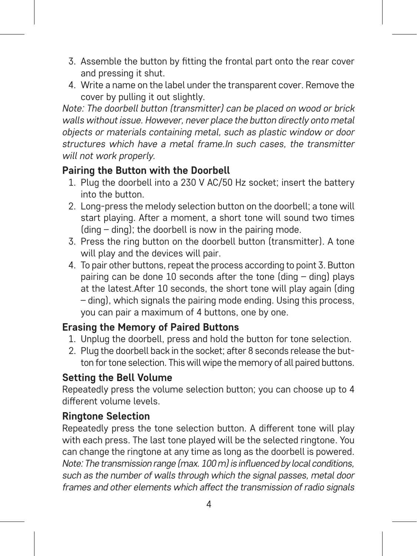- 3. Assemble the button by fitting the frontal part onto the rear cover and pressing it shut.
- 4. Write a name on the label under the transparent cover. Remove the cover by pulling it out slightly.

*Note: The doorbell button (transmitter) can be placed on wood or brick walls without issue. However, never place the button directly onto metal objects or materials containing metal, such as plastic window or door structures which have a metal frame.In such cases, the transmitter will not work properly.*

#### **Pairing the Button with the Doorbell**

- 1. Plug the doorbell into a 230 V AC/50 Hz socket; insert the battery into the button.
- 2. Long-press the melody selection button on the doorbell; a tone will start playing. After a moment, a short tone will sound two times (ding – ding); the doorbell is now in the pairing mode.
- 3. Press the ring button on the doorbell button (transmitter). A tone will play and the devices will pair.
- 4. To pair other buttons, repeat the process according to point 3. Button pairing can be done 10 seconds after the tone (ding – ding) plays at the latest.After 10 seconds, the short tone will play again (ding – ding), which signals the pairing mode ending. Using this process, you can pair a maximum of 4 buttons, one by one.

#### **Erasing the Memory of Paired Buttons**

- 1. Unplug the doorbell, press and hold the button for tone selection.
- 2. Plug the doorbell back in the socket; after 8 seconds release the button for tone selection. This will wipe the memory of all paired buttons.

#### **Setting the Bell Volume**

Repeatedly press the volume selection button; you can choose up to 4 different volume levels.

#### **Ringtone Selection**

Repeatedly press the tone selection button. A different tone will play with each press. The last tone played will be the selected ringtone. You can change the ringtone at any time as long as the doorbell is powered. *Note: The transmission range (max. 100 m) is influenced by local conditions, such as the number of walls through which the signal passes, metal door frames and other elements which affect the transmission of radio signals*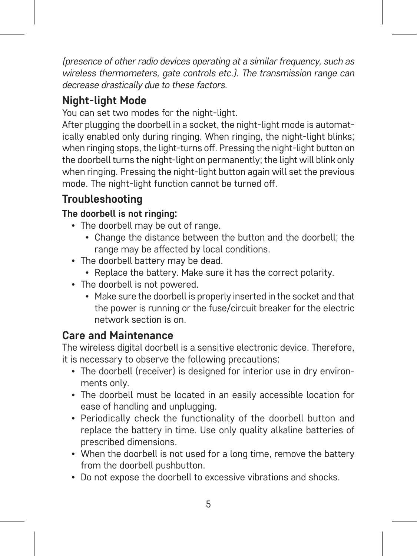*(presence of other radio devices operating at a similar frequency, such as wireless thermometers, gate controls etc.). The transmission range can decrease drastically due to these factors.*

# **Night-light Mode**

You can set two modes for the night-light.

After plugging the doorbell in a socket, the night-light mode is automatically enabled only during ringing. When ringing, the night-light blinks; when ringing stops, the light-turns off. Pressing the night-light button on the doorbell turns the night-light on permanently; the light will blink only when ringing. Pressing the night-light button again will set the previous mode. The night-light function cannot be turned off.

# **Troubleshooting**

## **The doorbell is not ringing:**

- The doorbell may be out of range.
	- Change the distance between the button and the doorbell; the range may be affected by local conditions.
- The doorbell battery may be dead.
	- Replace the battery. Make sure it has the correct polarity.
- The doorhell is not nowered
	- Make sure the doorbell is properly inserted in the socket and that the power is running or the fuse/circuit breaker for the electric network section is on.

## **Care and Maintenance**

The wireless digital doorbell is a sensitive electronic device. Therefore, it is necessary to observe the following precautions:

- The doorbell (receiver) is designed for interior use in dry environments only.
- The doorbell must be located in an easily accessible location for ease of handling and unplugging.
- Periodically check the functionality of the doorbell button and replace the battery in time. Use only quality alkaline batteries of prescribed dimensions.
- When the doorhell is not used for a long time, remove the battery from the doorbell pushbutton.
- Do not expose the doorbell to excessive vibrations and shocks.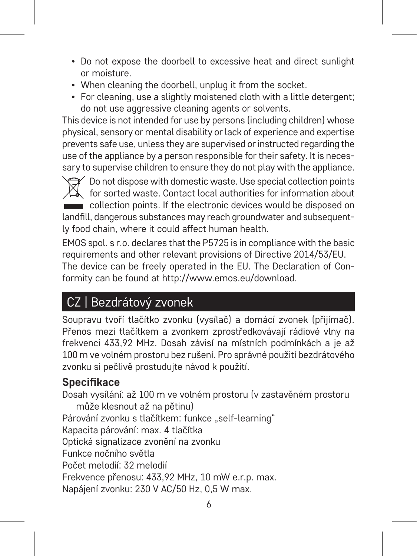- Do not expose the doorbell to excessive heat and direct sunlight or moisture.
- When cleaning the doorbell, unplug it from the socket.
- For cleaning, use a slightly moistened cloth with a little detergent; do not use aggressive cleaning agents or solvents.

This device is not intended for use by persons (including children) whose physical, sensory or mental disability or lack of experience and expertise prevents safe use, unless they are supervised or instructed regarding the use of the appliance by a person responsible for their safety. It is necessary to supervise children to ensure they do not play with the appliance.

Do not dispose with domestic waste. Use special collection points  $\chi^2$  for sorted waste. Contact local authorities for information about collection points. If the electronic devices would be disposed on landfill, dangerous substances may reach groundwater and subsequently food chain, where it could affect human health.

EMOS spol. s r.o. declares that the P5725 is in compliance with the basic requirements and other relevant provisions of Directive 2014/53/EU. The device can be freely operated in the EU. The Declaration of Conformity can be found at http://www.emos.eu/download.

# CZ | Bezdrátový zvonek

Soupravu tvoří tlačítko zvonku (vysílač) a domácí zvonek (přijímač). Přenos mezi tlačítkem a zvonkem zprostředkovávají rádiové vlny na frekvenci 433,92 MHz. Dosah závisí na místních podmínkách a je až 100 m ve volném prostoru bez rušení. Pro správné použití bezdrátového zvonku si pečlivě prostudujte návod k použití.

# **Specifikace**

Dosah vysílání: až 100 m ve volném prostoru (v zastavěném prostoru může klesnout až na pětinu) Párování zvonku s tlačítkem: funkce "self-learning" Kapacita párování: max. 4 tlačítka Optická signalizace zvonění na zvonku Funkce nočního světla Počet melodií: 32 melodií Frekvence přenosu: 433,92 MHz, 10 mW e.r.p. max. Napájení zvonku: 230 V AC/50 Hz, 0,5 W max.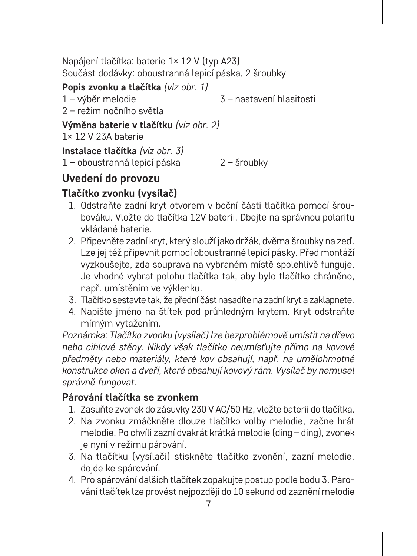Napájení tlačítka: baterie 1× 12 V (typ A23) Součást dodávky: oboustranná lepicí páska, 2 šroubky

**Popis zvonku a tlačítka** *(viz obr. 1)*

1 – výběr melodie 3 – nastavení hlasitosti

2 – režim nočního světla

**Výměna baterie v tlačítku** *(viz obr. 2)* 1× 12 V 23A baterie

**Instalace tlačítka** *(viz obr. 3)* 1 – oboustranná lepicí páska 2 – šroubky

# **Uvedení do provozu**

# **Tlačítko zvonku (vysílač)**

- 1. Odstraňte zadní kryt otvorem v boční části tlačítka pomocí šroubováku. Vložte do tlačítka 12V baterii. Dbejte na správnou polaritu vkládané baterie.
- 2. Připevněte zadní kryt, který slouží jako držák, dvěma šroubky na zeď. Lze jej též připevnit pomocí oboustranné lepicí pásky. Před montáží vyzkoušejte, zda souprava na vybraném místě spolehlivě funguje. Je vhodné vybrat polohu tlačítka tak, aby bylo tlačítko chráněno, např. umístěním ve výklenku.
- 3. Tlačítko sestavte tak, že přední část nasadíte na zadní kryt a zaklapnete.
- 4. Napište jméno na štítek pod průhledným krytem. Kryt odstraňte mírným vytažením.

*Poznámka: Tlačítko zvonku (vysílač) lze bezproblémově umístit na dřevo nebo cihlové stěny. Nikdy však tlačítko neumísťujte přímo na kovové předměty nebo materiály, které kov obsahují, např. na umělohmotné konstrukce oken a dveří, které obsahují kovový rám. Vysílač by nemusel správně fungovat.*

## **Párování tlačítka se zvonkem**

- 1. Zasuňte zvonek do zásuvky 230 V AC/50 Hz, vložte baterii do tlačítka.
- 2. Na zvonku zmáčkněte dlouze tlačítko volby melodie, začne hrát melodie. Po chvíli zazní dvakrát krátká melodie (ding – ding), zvonek je nyní v režimu párování.
- 3. Na tlačítku (vysílači) stiskněte tlačítko zvonění, zazní melodie, dojde ke spárování.
- 4. Pro spárování dalších tlačítek zopakujte postup podle bodu 3. Párování tlačítek lze provést nejpozději do 10 sekund od zaznění melodie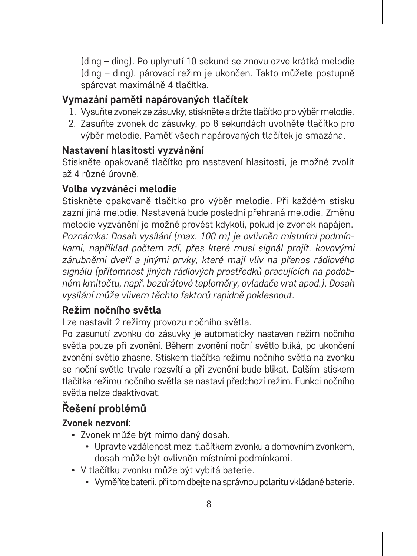(ding – ding). Po uplynutí 10 sekund se znovu ozve krátká melodie (ding – ding), párovací režim je ukončen. Takto můžete postupně spárovat maximálně 4 tlačítka.

#### **Vymazání paměti napárovaných tlačítek**

- 1. Vysuňte zvonek ze zásuvky, stiskněte a držte tlačítko pro výběr melodie.
- 2. Zasuňte zvonek do zásuvky, po 8 sekundách uvolněte tlačítko pro výběr melodie. Paměť všech napárovaných tlačítek je smazána.

#### **Nastavení hlasitosti vyzvánění**

Stiskněte opakovaně tlačítko pro nastavení hlasitosti, je možné zvolit až 4 různé úrovně.

#### **Volba vyzváněcí melodie**

Stiskněte opakovaně tlačítko pro výběr melodie. Při každém stisku zazní jiná melodie. Nastavená bude poslední přehraná melodie. Změnu melodie vyzvánění je možné provést kdykoli, pokud je zvonek napájen. *Poznámka: Dosah vysílání (max. 100 m) je ovlivněn místními podmínkami, například počtem zdí, přes které musí signál projít, kovovými zárubněmi dveří a jinými prvky, které mají vliv na přenos rádiového signálu (přítomnost jiných rádiových prostředků pracujících na podobném kmitočtu, např. bezdrátové teploměry, ovladače vrat apod.). Dosah vysílání může vlivem těchto faktorů rapidně poklesnout.*

#### **Režim nočního světla**

Lze nastavit 2 režimy provozu nočního světla.

Po zasunutí zvonku do zásuvky je automaticky nastaven režim nočního světla pouze při zvonění. Během zvonění noční světlo bliká, po ukončení zvonění světlo zhasne. Stiskem tlačítka režimu nočního světla na zvonku se noční světlo trvale rozsvítí a při zvonění bude blikat. Dalším stiskem tlačítka režimu nočního světla se nastaví předchozí režim. Funkci nočního světla nelze deaktivovat.

# **Řešení problémů**

#### **Zvonek nezvoní:**

- Zvonek může být mimo daný dosah.
	- Upravte vzdálenost mezi tlačítkem zvonku a domovním zvonkem, dosah může být ovlivněn místními podmínkami.
- V tlačítku zvonku může být vybitá baterie.
	- Vyměňte baterii, při tom dbejte na správnou polaritu vkládané baterie.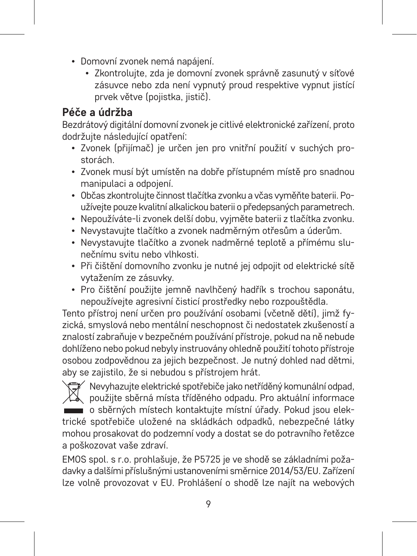- Domovní zvonek nemá napájení.
	- Zkontrolujte, zda je domovní zvonek správně zasunutý v síťové zásuvce nebo zda není vypnutý proud respektive vypnut jistící prvek větve (pojistka, jistič).

# **Péče a údržba**

Bezdrátový digitální domovní zvonek je citlivé elektronické zařízení, proto dodržujte následující opatření:

- Zvonek (přijímač) je určen jen pro vnitřní použití v suchých prostorách.
- Zvonek musí být umístěn na dobře přístupném místě pro snadnou manipulaci a odpojení.
- Občas zkontrolujte činnost tlačítka zvonku a včas vyměňte baterii. Používejte pouze kvalitní alkalickou baterii o předepsaných parametrech.
- Nepoužíváte-li zvonek delší dobu, vyjměte baterii z tlačítka zvonku.
- Nevystavujte tlačítko a zvonek nadměrným otřesům a úderům.
- Nevystavujte tlačítko a zvonek nadměrné teplotě a přímému slunečnímu svitu nebo vlhkosti.
- Při čištění domovního zvonku je nutné jej odpojit od elektrické sítě vytažením ze zásuvky.
- Pro čištění použijte jemně navlhčený hadřík s trochou saponátu, nepoužívejte agresivní čisticí prostředky nebo rozpouštědla.

Tento přístroj není určen pro používání osobami (včetně dětí), jimž fyzická, smyslová nebo mentální neschopnost či nedostatek zkušeností a znalostí zabraňuje v bezpečném používání přístroje, pokud na ně nebude dohlíženo nebo pokud nebyly instruovány ohledně použití tohoto přístroje osobou zodpovědnou za jejich bezpečnost. Je nutný dohled nad dětmi, aby se zajistilo, že si nebudou s přístrojem hrát.

Nevyhazujte elektrické spotřebiče jako netříděný komunální odpad, použijte sběrná místa tříděného odpadu. Pro aktuální informace o sběrných místech kontaktujte místní úřady. Pokud jsou elektrické spotřebiče uložené na skládkách odpadků, nebezpečné látky mohou prosakovat do podzemní vody a dostat se do potravního řetězce a poškozovat vaše zdraví.

EMOS spol. s r.o. prohlašuje, že P5725 je ve shodě se základními požadavky a dalšími příslušnými ustanoveními směrnice 2014/53/EU. Zařízení lze volně provozovat v EU. Prohlášení o shodě lze najít na webových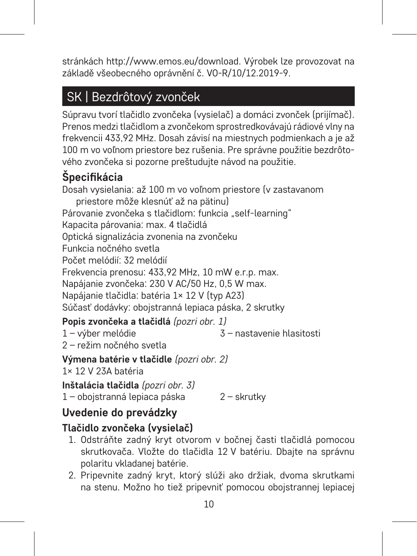stránkách http://www.emos.eu/download. Výrobek lze provozovat na základě všeobecného oprávnění č. VO-R/10/12.2019-9.

# SK | Bezdrôtový zvonček

Súpravu tvorí tlačidlo zvončeka (vysielač) a domáci zvonček (prijímač). Prenos medzi tlačidlom a zvončekom sprostredkovávajú rádiové vlny na frekvencii 433,92 MHz. Dosah závisí na miestnych podmienkach a je až 100 m vo voľnom priestore bez rušenia. Pre správne použitie bezdrôtového zvončeka si pozorne preštudujte návod na použitie.

# **Špecifikácia**

Dosah vysielania: až 100 m vo voľnom priestore (v zastavanom priestore môže klesnúť až na pätinu) Párovanie zvončeka s tlačidlom: funkcia "self-learning" Kapacita párovania: max. 4 tlačidlá Optická signalizácia zvonenia na zvončeku Funkcia nočného svetla Počet melódií: 32 melódií Frekvencia prenosu: 433,92 MHz, 10 mW e.r.p. max. Napájanie zvončeka: 230 V AC/50 Hz, 0,5 W max. Napájanie tlačidla: batéria 1× 12 V (typ A23) Súčasť dodávky: obojstranná lepiaca páska, 2 skrutky

## **Popis zvončeka a tlačidlá** *(pozri obr. 1)*

1 – výber melódie 3 – nastavenie hlasitosti

2 – režim nočného svetla

**Výmena batérie v tlačidle** *(pozri obr. 2)*

1× 12 V 23A batéria

**Inštalácia tlačidla** *(pozri obr. 3)* 1 – obojstranná lepiaca páska 2 – skrutky

# **Uvedenie do prevádzky**

## **Tlačidlo zvončeka (vysielač)**

- 1. Odstráňte zadný kryt otvorom v bočnej časti tlačidlá pomocou skrutkovača. Vložte do tlačidla 12 V batériu. Dbajte na správnu polaritu vkladanej batérie.
- 2. Pripevnite zadný kryt, ktorý slúži ako držiak, dvoma skrutkami na stenu. Možno ho tiež pripevniť pomocou obojstrannej lepiacej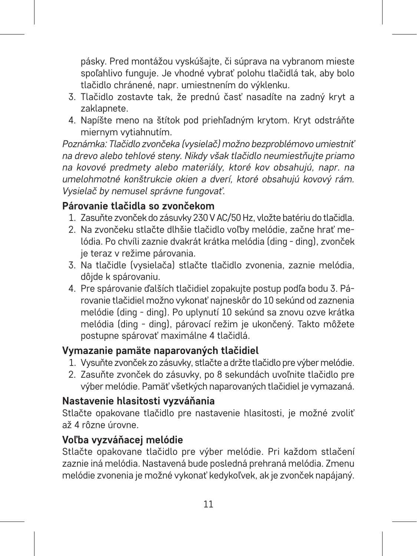pásky. Pred montážou vyskúšajte, či súprava na vybranom mieste spoľahlivo funguje. Je vhodné vybrať polohu tlačidlá tak, aby bolo tlačidlo chránené, napr. umiestnením do výklenku.

- 3. Tlačidlo zostavte tak, že prednú časť nasadíte na zadný kryt a zaklapnete.
- 4. Napíšte meno na štítok pod priehľadným krytom. Kryt odstráňte miernym vytiahnutím.

*Poznámka: Tlačidlo zvončeka (vysielač) možno bezproblémovo umiestniť na drevo alebo tehlové steny. Nikdy však tlačidlo neumiestňujte priamo na kovové predmety alebo materiály, ktoré kov obsahujú, napr. na umelohmotné konštrukcie okien a dverí, ktoré obsahujú kovový rám. Vysielač by nemusel správne fungovať.*

## **Párovanie tlačidla so zvončekom**

- 1. Zasuňte zvonček do zásuvky 230 V AC/50 Hz, vložte batériu do tlačidla.
- 2. Na zvončeku stlačte dlhšie tlačidlo voľby melódie, začne hrať melódia. Po chvíli zaznie dvakrát krátka melódia (ding - ding), zvonček je teraz v režime párovania.
- 3. Na tlačidle (vysielača) stlačte tlačidlo zvonenia, zaznie melódia, dôjde k spárovaniu.
- 4. Pre spárovanie ďalších tlačidiel zopakujte postup podľa bodu 3. Párovanie tlačidiel možno vykonať najneskôr do 10 sekúnd od zaznenia melódie (ding - ding). Po uplynutí 10 sekúnd sa znovu ozve krátka melódia (ding - ding), párovací režim je ukončený. Takto môžete postupne spárovať maximálne 4 tlačidlá.

#### **Vymazanie pamäte naparovaných tlačidiel**

- 1. Vysuňte zvonček zo zásuvky, stlačte a držte tlačidlo pre výber melódie.
- 2. Zasuňte zvonček do zásuvky, po 8 sekundách uvoľnite tlačidlo pre výber melódie. Pamäť všetkých naparovaných tlačidiel je vymazaná.

#### **Nastavenie hlasitosti vyzváňania**

Stlačte opakovane tlačidlo pre nastavenie hlasitosti, je možné zvoliť až 4 rôzne úrovne.

#### **Voľba vyzváňacej melódie**

Stlačte opakovane tlačidlo pre výber melódie. Pri každom stlačení zaznie iná melódia. Nastavená bude posledná prehraná melódia. Zmenu melódie zvonenia je možné vykonať kedykoľvek, ak je zvonček napájaný.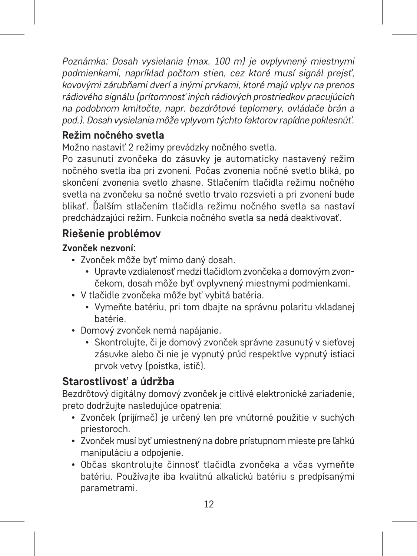*Poznámka: Dosah vysielania (max. 100 m) je ovplyvnený miestnymi podmienkami, napríklad počtom stien, cez ktoré musí signál prejsť, kovovými zárubňami dverí a inými prvkami, ktoré majú vplyv na prenos rádiového signálu (prítomnosť iných rádiových prostriedkov pracujúcich na podobnom kmitočte, napr. bezdrôtové teplomery, ovládače brán a pod.). Dosah vysielania môže vplyvom týchto faktorov rapídne poklesnúť.*

## **Režim nočného svetla**

Možno nastaviť 2 režimy prevádzky nočného svetla.

Po zasunutí zvončeka do zásuvky je automaticky nastavený režim nočného svetla iba pri zvonení. Počas zvonenia nočné svetlo bliká, po skončení zvonenia svetlo zhasne. Stlačením tlačidla režimu nočného svetla na zvončeku sa nočné svetlo trvalo rozsvieti a pri zvonení bude blikať. Ďalším stlačením tlačidla režimu nočného svetla sa nastaví predchádzajúci režim. Funkcia nočného svetla sa nedá deaktivovať.

# **Riešenie problémov**

#### **Zvonček nezvoní:**

- Zvonček môže byť mimo daný dosah.
	- Upravte vzdialenosť medzi tlačidlom zvončeka a domovým zvončekom, dosah môže byť ovplyvnený miestnymi podmienkami.
- V tlačidle zvončeka môže byť vybitá batéria.
	- Vymeňte batériu, pri tom dbajte na správnu polaritu vkladanej batérie.
- Domový zvonček nemá napájanie.
	- Skontrolujte, či je domový zvonček správne zasunutý v sieťovej zásuvke alebo či nie je vypnutý prúd respektíve vypnutý istiaci prvok vetvy (poistka, istič).

# **Starostlivosť a údržba**

Bezdrôtový digitálny domový zvonček je citlivé elektronické zariadenie, preto dodržujte nasledujúce opatrenia:

- Zvonček (prijímač) je určený len pre vnútorné použitie v suchých priestoroch.
- Zvonček musí byť umiestnený na dobre prístupnom mieste pre ľahkú manipuláciu a odpojenie.
- Občas skontrolujte činnosť tlačidla zvončeka a včas vymeňte batériu. Používajte iba kvalitnú alkalickú batériu s predpísanými parametrami.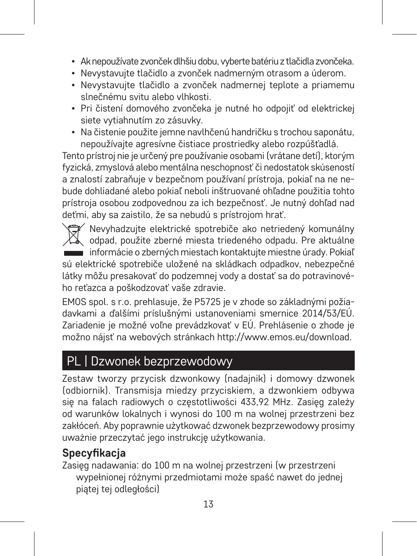- Ak nepoužívate zvonček dlhšiu dobu, vyberte batériu z tlačidla zvončeka.
- Nevystavujte tlačidlo a zvonček nadmerným otrasom a úderom.
- Nevystavujte tlačidlo a zvonček nadmernej teplote a priamemu slnečnému svitu alebo vlhkosti.
- Pri čistení domového zvončeka je nutné ho odpojiť od elektrickej siete vytiahnutím zo zásuvky.
- Na čistenie použite jemne navlhčenú handričku s trochou saponátu, nepoužívajte agresívne čistiace prostriedky alebo rozpúšťadlá.

Tento prístroj nie je určený pre používanie osobami (vrátane detí), ktorým fyzická, zmyslová alebo mentálna neschopnosť či nedostatok skúseností a znalostí zabraňuje v bezpečnom používaní prístroja, pokiaľ na ne nebude dohliadané alebo pokiaľ neboli inštruované ohľadne použitia tohto prístroja osobou zodpovednou za ich bezpečnosť. Je nutný dohľad nad deťmi, aby sa zaistilo, že sa nebudú s prístrojom hrať.

Nevyhadzujte elektrické spotrebiče ako netriedený komunálny odpad, použite zberné miesta triedeného odpadu. Pre aktuálne informácie o zberných miestach kontaktujte miestne úrady. Pokiaľ sú elektrické spotrebiče uložené na skládkach odpadkov, nebezpečné látky môžu presakovať do podzemnej vody a dostať sa do potravinové-

ho reťazca a poškodzovať vaše zdravie. EMOS spol. s r.o. prehlasuje, že P5725 je v zhode so základnými požiadavkami a ďalšími príslušnými ustanoveniami smernice 2014/53/EÚ. Zariadenie je možné voľne prevádzkovať v EÚ. Prehlásenie o zhode je možno nájsť na webových stránkach http://www.emos.eu/download.

# PL | Dzwonek bezprzewodowy

Zestaw tworzy przycisk dzwonkowy (nadajnik) i domowy dzwonek (odbiornik). Transmisja miedzy przyciskiem, a dzwonkiem odbywa się na falach radiowych o częstotliwości 433,92 MHz. Zasięg zależy od warunków lokalnych i wynosi do 100 m na wolnej przestrzeni bez zakłóceń. Aby poprawnie użytkować dzwonek bezprzewodowy prosimy uważnie przeczytać jego instrukcję użytkowania.

# **Specyfikacja**

Zasięg nadawania: do 100 m na wolnej przestrzeni (w przestrzeni wypełnionej różnymi przedmiotami może spaść nawet do jednej piątej tej odległości)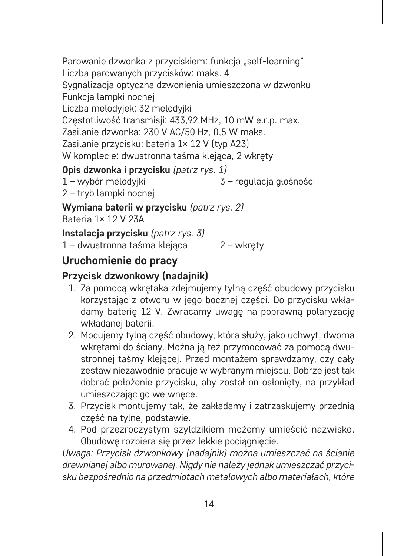Parowanie dzwonka z przyciskiem: funkcja "self-learning" Liczba parowanych przycisków: maks. 4 Sygnalizacja optyczna dzwonienia umieszczona w dzwonku Funkcja lampki nocnej Liczba melodyjek: 32 melodyjki Częstotliwość transmisji: 433,92 MHz, 10 mW e.r.p. max. Zasilanie dzwonka: 230 V AC/50 Hz, 0,5 W maks. Zasilanie przycisku: bateria 1× 12 V (typ A23) W komplecie: dwustronna taśma klejąca, 2 wkręty **Opis dzwonka i przycisku** *(patrz rys. 1)*

- 1 wybór melodyjki 3 – regulacja głośności
- 2 tryb lampki nocnej

**Wymiana baterii w przycisku** *(patrz rys. 2)* Bateria 1× 12 V 23A

**Instalacja przycisku** *(patrz rys. 3)* 1 – dwustronna taśma klejąca 2 – wkręty

# **Uruchomienie do pracy**

# **Przycisk dzwonkowy (nadajnik)**

- 1. Za pomocą wkrętaka zdejmujemy tylną część obudowy przycisku korzystając z otworu w jego bocznej części. Do przycisku wkładamy baterię 12 V. Zwracamy uwagę na poprawną polaryzację wkładanej baterii.
- 2. Mocujemy tylną część obudowy, która służy, jako uchwyt, dwoma wkrętami do ściany. Można ją też przymocować za pomocą dwustronnej taśmy klejącej. Przed montażem sprawdzamy, czy cały zestaw niezawodnie pracuje w wybranym miejscu. Dobrze jest tak dobrać położenie przycisku, aby został on osłonięty, na przykład umieszczając go we wnęce.
- 3. Przycisk montujemy tak, że zakładamy i zatrzaskujemy przednią część na tylnej podstawie.
- 4. Pod przezroczystym szyldzikiem możemy umieścić nazwisko. Obudowe rozbiera się przez lekkie pociągnięcie.

*Uwaga: Przycisk dzwonkowy (nadajnik) można umieszczać na ścianie drewnianej albo murowanej. Nigdy nie należy jednak umieszczać przycisku bezpośrednio na przedmiotach metalowych albo materiałach, które*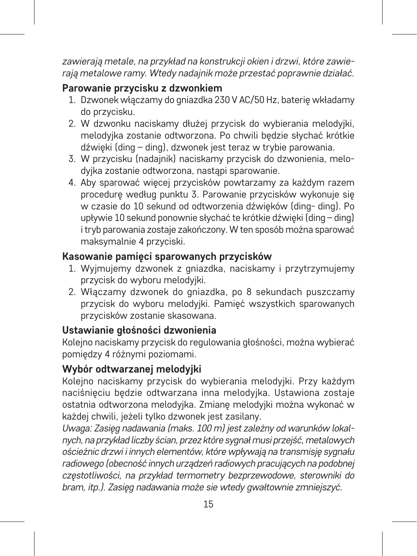*zawierają metale, na przykład na konstrukcji okien i drzwi, które zawierają metalowe ramy. Wtedy nadajnik może przestać poprawnie działać.*

#### **Parowanie przycisku z dzwonkiem**

- 1. Dzwonek włączamy do gniazdka 230 V AC/50 Hz, baterię wkładamy do przycisku.
- 2. W dzwonku naciskamy dłużej przycisk do wybierania melodyjki, melodyjka zostanie odtworzona. Po chwili będzie słychać krótkie dźwięki (ding – ding), dzwonek jest teraz w trybie parowania.
- 3. W przycisku (nadajnik) naciskamy przycisk do dzwonienia, melodyjka zostanie odtworzona, nastąpi sparowanie.
- 4. Aby sparować więcej przycisków powtarzamy za każdym razem procedurę według punktu 3. Parowanie przycisków wykonuje się w czasie do 10 sekund od odtworzenia dźwięków (ding- ding). Po upływie 10 sekund ponownie słychać te krótkie dźwięki (ding – ding) i tryb parowania zostaje zakończony. W ten sposób można sparować maksymalnie 4 przyciski.

#### **Kasowanie pamięci sparowanych przycisków**

- 1. Wyjmujemy dzwonek z gniazdka, naciskamy i przytrzymujemy przycisk do wyboru melodyjki.
- 2. Włączamy dzwonek do gniazdka, po 8 sekundach puszczamy przycisk do wyboru melodyjki. Pamięć wszystkich sparowanych przycisków zostanie skasowana.

#### **Ustawianie głośności dzwonienia**

Kolejno naciskamy przycisk do regulowania głośności, można wybierać pomiędzy 4 różnymi poziomami.

#### **Wybór odtwarzanej melodyjki**

Kolejno naciskamy przycisk do wybierania melodyjki. Przy każdym naciśnięciu będzie odtwarzana inna melodyjka. Ustawiona zostaje ostatnia odtworzona melodyjka. Zmianę melodyjki można wykonać w każdej chwili, jeżeli tylko dzwonek jest zasilany.

*Uwaga: Zasięg nadawania (maks. 100 m) jest zależny od warunków lokalnych, na przykład liczby ścian, przez które sygnał musi przejść, metalowych ościeżnic drzwi i innych elementów, które wpływają na transmisję sygnału radiowego (obecność innych urządzeń radiowych pracujących na podobnej częstotliwości, na przykład termometry bezprzewodowe, sterowniki do bram, itp.). Zasięg nadawania może sie wtedy gwałtownie zmniejszyć.*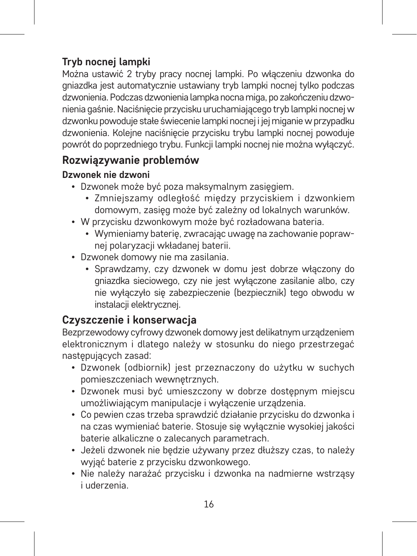# **Tryb nocnej lampki**

Można ustawić 2 tryby pracy nocnej lampki. Po włączeniu dzwonka do gniazdka jest automatycznie ustawiany tryb lampki nocnej tylko podczas dzwonienia. Podczas dzwonienia lampka nocna miga, po zakończeniu dzwonienia gaśnie. Naciśnięcie przycisku uruchamiającego tryb lampki nocnej w dzwonku powoduje stałe świecenie lampki nocnej i jej miganie w przypadku dzwonienia. Kolejne naciśnięcie przycisku trybu lampki nocnej powoduje powrót do poprzedniego trybu. Funkcji lampki nocnej nie można wyłączyć.

## **Rozwiązywanie problemów**

#### **Dzwonek nie dzwoni**

- Dzwonek może być poza maksymalnym zasięgiem.
	- Zmniejszamy odległość między przyciskiem i dzwonkiem domowym, zasięg może być zależny od lokalnych warunków.
- W przycisku dzwonkowym może być rozładowana bateria.
	- Wymieniamy baterię, zwracając uwagę na zachowanie poprawnej polaryzacji wkładanej baterii.
- Dzwonek domowy nie ma zasilania.
	- Sprawdzamy, czy dzwonek w domu jest dobrze włączony do gniazdka sieciowego, czy nie jest wyłączone zasilanie albo, czy nie wyłączyło się zabezpieczenie (bezpiecznik) tego obwodu w instalacji elektrycznej.

# **Czyszczenie i konserwacja**

Bezprzewodowy cyfrowy dzwonek domowy jest delikatnym urządzeniem elektronicznym i dlatego należy w stosunku do niego przestrzegać następujących zasad:

- Dzwonek (odbiornik) jest przeznaczony do użytku w suchych pomieszczeniach wewnętrznych.
- Dzwonek musi być umieszczony w dobrze dostępnym miejscu umożliwiającym manipulacje i wyłączenie urządzenia.
- Co pewien czas trzeba sprawdzić działanie przycisku do dzwonka i na czas wymieniać baterie. Stosuje się wyłącznie wysokiej jakości baterie alkaliczne o zalecanych parametrach.
- Jeżeli dzwonek nie będzie używany przez dłuższy czas, to należy wyjąć baterie z przycisku dzwonkowego.
- Nie należy narażać przycisku i dzwonka na nadmierne wstrząsy i uderzenia.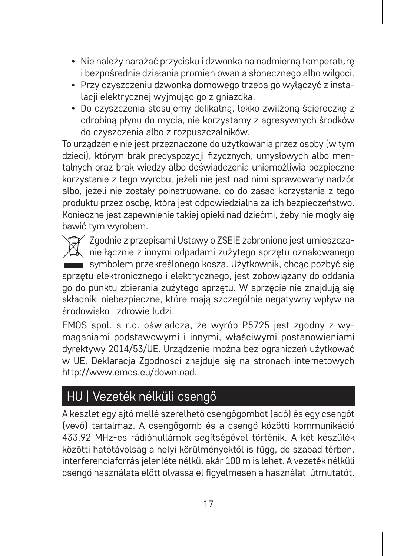- Nie należy narażać przycisku i dzwonka na nadmierną temperaturę i bezpośrednie działania promieniowania słonecznego albo wilgoci.
- Przy czyszczeniu dzwonka domowego trzeba go wyłączyć z instalacji elektrycznej wyjmując go z gniazdka.
- Do czyszczenia stosujemy delikatną, lekko zwilżoną ściereczkę z odrobiną płynu do mycia, nie korzystamy z agresywnych środków do czyszczenia albo z rozpuszczalników.

To urządzenie nie jest przeznaczone do użytkowania przez osoby (w tym dzieci), którym brak predyspozycji fizycznych, umysłowych albo mentalnych oraz brak wiedzy albo doświadczenia uniemożliwia bezpieczne korzystanie z tego wyrobu, jeżeli nie jest nad nimi sprawowany nadzór albo, jeżeli nie zostały poinstruowane, co do zasad korzystania z tego produktu przez osobę, która jest odpowiedzialna za ich bezpieczeństwo. Konieczne jest zapewnienie takiej opieki nad dziećmi, żeby nie mogły się bawić tym wyrobem.

Zgodnie z przepisami Ustawy o ZSEiE zabronione jest umieszcza- $\mathbb{X}_{\mathbb{R}}$ nie łącznie z innymi odpadami zużytego sprzetu oznakowanego symbolem przekreślonego kosza. Użytkownik, chcąc pozbyć się sprzętu elektronicznego i elektrycznego, jest zobowiązany do oddania go do punktu zbierania zużytego sprzętu. W sprzęcie nie znajdują się składniki niebezpieczne, które mają szczególnie negatywny wpływ na środowisko i zdrowie ludzi.

EMOS spol. s r.o. oświadcza, że wyrób P5725 jest zgodny z wymaganiami podstawowymi i innymi, właściwymi postanowieniami dyrektywy 2014/53/UE. Urządzenie można bez ograniczeń użytkować w UE. Deklaracja Zgodności znajduje się na stronach internetowych http://www.emos.eu/download.

# HU | Vezeték nélküli csengő

A készlet egy ajtó mellé szerelhető csengőgombot (adó) és egy csengőt (vevő) tartalmaz. A csengőgomb és a csengő közötti kommunikáció 433,92 MHz-es rádióhullámok segítségével történik. A két készülék közötti hatótávolság a helyi körülményektől is függ, de szabad térben, interferenciaforrás jelenléte nélkül akár 100 m is lehet. A vezeték nélküli csengő használata előtt olvassa el figyelmesen a használati útmutatót.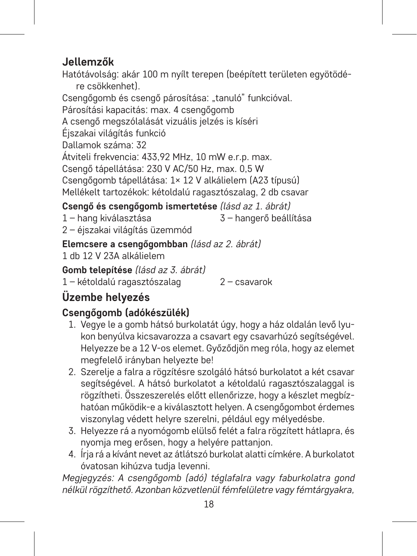# **Jellemzők**

Hatótávolság: akár 100 m nyílt terepen (beépített területen egyötödére csökkenhet). Csengőgomb és csengő párosítása: "tanuló" funkcióval. Párosítási kapacitás: max. 4 csengőgomb A csengő megszólalását vizuális jelzés is kíséri Éjszakai világítás funkció Dallamok száma: 32 Átviteli frekvencia: 433,92 MHz, 10 mW e.r.p. max. Csengő tápellátása: 230 V AC/50 Hz, max. 0,5 W Csengőgomb tápellátása: 1× 12 V alkálielem (A23 típusú) Mellékelt tartozékok: kétoldalú ragasztószalag, 2 db csavar

3 – hangerő beállítása

**Csengő és csengőgomb ismertetése** *(lásd az 1. ábrát)*

1 – hang kiválasztása

2 – éjszakai világítás üzemmód

**Elemcsere a csengőgombban** *(lásd az 2. ábrát)*

1 db 12 V 23A alkálielem

**Gomb telepítése** *(lásd az 3. ábrát)*

1 – kétoldalú ragasztószalag 2 – csavarok

# **Üzembe helyezés**

# **Csengőgomb (adókészülék)**

- 1. Vegye le a gomb hátsó burkolatát úgy, hogy a ház oldalán levő lyukon benyúlva kicsavarozza a csavart egy csavarhúzó segítségével. Helyezze be a 12 V-os elemet. Győződjön meg róla, hogy az elemet megfelelő irányban helyezte be!
- 2. Szerelje a falra a rögzítésre szolgáló hátsó burkolatot a két csavar segítségével. A hátsó burkolatot a kétoldalú ragasztószalaggal is rögzítheti. Összeszerelés előtt ellenőrizze, hogy a készlet megbízhatóan működik-e a kiválasztott helyen. A csengőgombot érdemes viszonylag védett helyre szerelni, például egy mélyedésbe.
- 3. Helyezze rá a nyomógomb elülső felét a falra rögzített hátlapra, és nyomja meg erősen, hogy a helyére pattanjon.
- 4. Írja rá a kívánt nevet az átlátszó burkolat alatti címkére. A burkolatot óvatosan kihúzva tudja levenni.

*Megjegyzés: A csengőgomb (adó) téglafalra vagy faburkolatra gond nélkül rögzíthető. Azonban közvetlenül fémfelületre vagy fémtárgyakra,*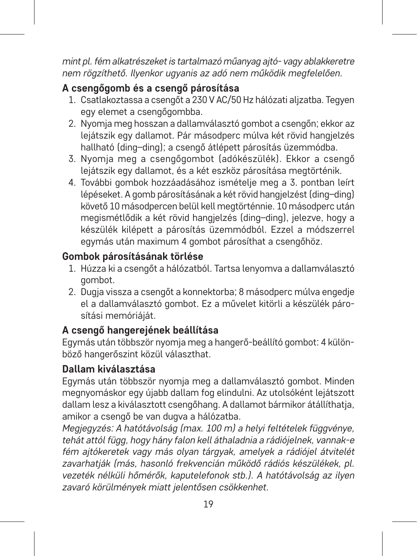*mint pl. fém alkatrészeket is tartalmazó műanyag ajtó- vagy ablakkeretre nem rögzíthető. Ilyenkor ugyanis az adó nem működik megfelelően.*

#### **A csengőgomb és a csengő párosítása**

- 1. Csatlakoztassa a csengőt a 230 V AC/50 Hz hálózati aljzatba. Tegyen egy elemet a csengőgombba.
- 2. Nyomja meg hosszan a dallamválasztó gombot a csengőn; ekkor az lejátszik egy dallamot. Pár másodperc múlva két rövid hangjelzés hallható (ding–ding); a csengő átlépett párosítás üzemmódba.
- 3. Nyomja meg a csengőgombot (adókészülék). Ekkor a csengő lejátszik egy dallamot, és a két eszköz párosítása megtörténik.
- 4. További gombok hozzáadásához ismételje meg a 3. pontban leírt lépéseket. A gomb párosításának a két rövid hangjelzést (ding–ding) követő 10 másodpercen belül kell megtörténnie. 10 másodperc után megismétlődik a két rövid hangjelzés (ding–ding), jelezve, hogy a készülék kilépett a párosítás üzemmódból. Ezzel a módszerrel egymás után maximum 4 gombot párosíthat a csengőhöz.

#### **Gombok párosításának törlése**

- 1. Húzza ki a csengőt a hálózatból. Tartsa lenyomva a dallamválasztó gombot.
- 2. Dugja vissza a csengőt a konnektorba; 8 másodperc múlva engedje el a dallamválasztó gombot. Ez a művelet kitörli a készülék párosítási memóriáját.

## **A csengő hangerejének beállítása**

Egymás után többször nyomja meg a hangerő-beállító gombot: 4 különböző hangerőszint közül választhat.

#### **Dallam kiválasztása**

Egymás után többször nyomja meg a dallamválasztó gombot. Minden megnyomáskor egy újabb dallam fog elindulni. Az utolsóként lejátszott dallam lesz a kiválasztott csengőhang. A dallamot bármikor átállíthatja, amikor a csengő be van dugva a hálózatba.

*Megjegyzés: A hatótávolság (max. 100 m) a helyi feltételek függvénye, tehát attól függ, hogy hány falon kell áthaladnia a rádiójelnek, vannak-e fém ajtókeretek vagy más olyan tárgyak, amelyek a rádiójel átvitelét zavarhatják (más, hasonló frekvencián működő rádiós készülékek, pl. vezeték nélküli hőmérők, kaputelefonok stb.). A hatótávolság az ilyen zavaró körülmények miatt jelentősen csökkenhet.*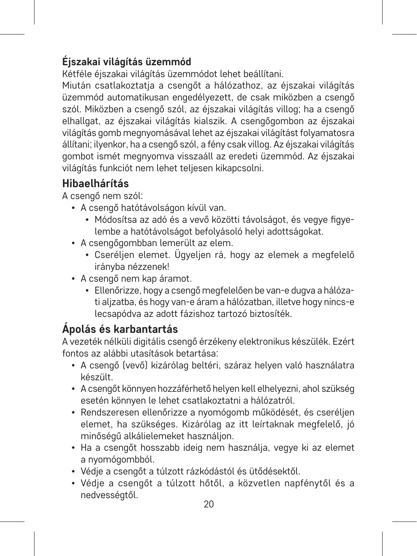# **Éjszakai világítás üzemmód**

Kétféle éjszakai világítás üzemmódot lehet beállítani.

Miután csatlakoztatja a csengőt a hálózathoz, az éjszakai világítás üzemmód automatikusan engedélyezett, de csak miközben a csengő szól. Miközben a csengő szól, az éjszakai világítás villog; ha a csengő elhallgat, az éjszakai világítás kialszik. A csengőgombon az éjszakai világítás gomb megnyomásával lehet az éjszakai világítást folyamatosra állítani; ilyenkor, ha a csengő szól, a fény csak villog. Az éjszakai világítás gombot ismét megnyomva visszaáll az eredeti üzemmód. Az éjszakai világítás funkciót nem lehet teljesen kikapcsolni.

# **Hibaelhárítás**

A csengő nem szól:

- A csengő hatótávolságon kívül van.
	- Módosítsa az adó és a vevő közötti távolságot, és vegye figyelembe a hatótávolságot befolyásoló helyi adottságokat.
- A csengőgombban lemerült az elem.
	- Cseréljen elemet. Ügyeljen rá, hogy az elemek a megfelelő irányba nézzenek!
- A csengő nem kap áramot.
	- Ellenőrizze, hogy a csengő megfelelően be van-e dugva a hálózati aljzatba, és hogy van-e áram a hálózatban, illetve hogy nincs-e lecsapódva az adott fázishoz tartozó biztosíték.

# **Ápolás és karbantartás**

A vezeték nélküli digitális csengő érzékeny elektronikus készülék. Ezért fontos az alábbi utasítások betartása:

- A csengő (vevő) kizárólag beltéri, száraz helyen való használatra készült.
- A csengőt könnyen hozzáférhető helyen kell elhelyezni, ahol szükség esetén könnyen le lehet csatlakoztatni a hálózatról.
- Rendszeresen ellenőrizze a nyomógomb működését, és cseréljen elemet, ha szükséges. Kizárólag az itt leírtaknak megfelelő, jó minőségű alkálielemeket használjon.
- Ha a csengőt hosszabb ideig nem használja, vegye ki az elemet a nyomógombból.
- Védje a csengőt a túlzott rázkódástól és ütődésektől.
- Védje a csengőt a túlzott hőtől, a közvetlen napfénytől és a nedvességtől.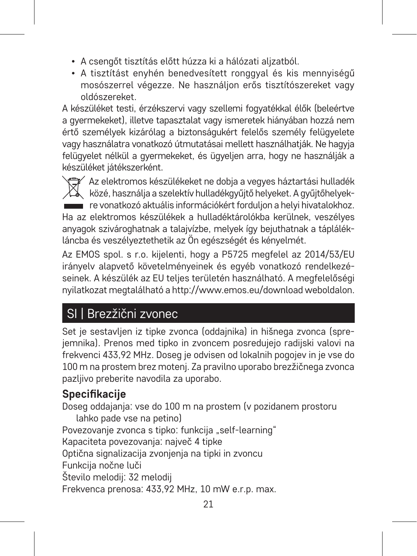- A csengőt tisztítás előtt húzza ki a hálózati aljzatból.
- A tisztítást enyhén benedvesített ronggyal és kis mennyiségű mosószerrel végezze. Ne használjon erős tisztítószereket vagy oldószereket.

A készüléket testi, érzékszervi vagy szellemi fogyatékkal élők (beleértve a gyermekeket), illetve tapasztalat vagy ismeretek hiányában hozzá nem értő személyek kizárólag a biztonságukért felelős személy felügyelete vagy használatra vonatkozó útmutatásai mellett használhatják. Ne hagyja felügyelet nélkül a gyermekeket, és ügyeljen arra, hogy ne használják a készüléket játékszerként.

Az elektromos készülékeket ne dobja a vegyes háztartási hulladék  $\forall \lambda$ közé, használia a szelektív hulladékgyűjtő helyeket. A gyűjtőhelyekre vonatkozó aktuális információkért forduljon a helyi hivatalokhoz. Ha az elektromos készülékek a hulladéktárolókba kerülnek, veszélyes anyagok szivároghatnak a talajvízbe, melyek így bejuthatnak a táplálékláncba és veszélyeztethetik az Ön egészségét és kényelmét.

Az EMOS spol. s r.o. kijelenti, hogy a P5725 megfelel az 2014/53/EU irányelv alapvető követelményeinek és egyéb vonatkozó rendelkezéseinek. A készülék az EU teljes területén használható. A megfelelőségi nyilatkozat megtalálható a http://www.emos.eu/download weboldalon.

# SI | Brezžični zvonec

Set je sestavljen iz tipke zvonca (oddajnika) in hišnega zvonca (sprejemnika). Prenos med tipko in zvoncem posredujejo radijski valovi na frekvenci 433,92 MHz. Doseg je odvisen od lokalnih pogojev in je vse do 100 m na prostem brez motenj. Za pravilno uporabo brezžičnega zvonca pazljivo preberite navodila za uporabo.

# **Specifikacije**

Doseg oddajanja: vse do 100 m na prostem (v pozidanem prostoru lahko pade vse na petino) Povezovanje zvonca s tipko: funkcija "self-learning" Kapaciteta povezovanja: največ 4 tipke Optična signalizacija zvonjenja na tipki in zvoncu Funkcija nočne luči Število melodij: 32 melodij Frekvenca prenosa: 433,92 MHz, 10 mW e.r.p. max.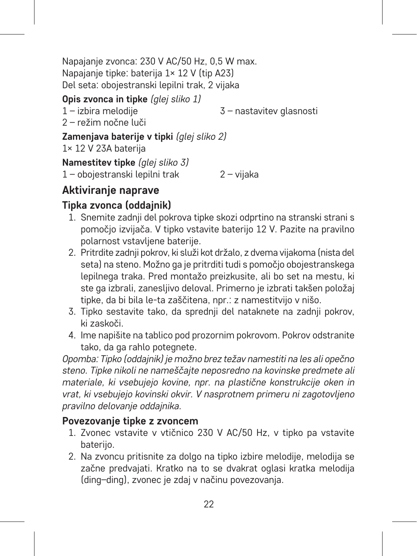Napajanje zvonca: 230 V AC/50 Hz, 0,5 W max. Napajanje tipke: baterija 1× 12 V (tip A23) Del seta: obojestranski lepilni trak, 2 vijaka

# **Opis zvonca in tipke** *(glej sliko 1)*

1 – izbira melodije

3 – nastavitev glasnosti

2 – režim nočne luči

**Zamenjava baterije v tipki** *(glej sliko 2)*

1× 12 V 23A baterija

**Namestitev tipke** *(glej sliko 3)*

1 – obojestranski lepilni trak 2 – vijaka

# **Aktiviranje naprave**

# **Tipka zvonca (oddajnik)**

- 1. Snemite zadnji del pokrova tipke skozi odprtino na stranski strani s pomočjo izvijača. V tipko vstavite baterijo 12 V. Pazite na pravilno polarnost vstavljene baterije.
- 2. Pritrdite zadnji pokrov, ki služi kot držalo, z dvema vijakoma (nista del seta) na steno. Možno ga je pritrditi tudi s pomočjo obojestranskega lepilnega traka. Pred montažo preizkusite, ali bo set na mestu, ki ste ga izbrali, zanesljivo deloval. Primerno je izbrati takšen položaj tipke, da bi bila le-ta zaščitena, npr.: z namestitvijo v nišo.
- 3. Tipko sestavite tako, da sprednji del nataknete na zadnji pokrov, ki zaskoči.
- 4. Ime napišite na tablico pod prozornim pokrovom. Pokrov odstranite tako, da ga rahlo potegnete.

*Opomba: Tipko (oddajnik) je možno brez težav namestiti na les ali opečno steno. Tipke nikoli ne nameščajte neposredno na kovinske predmete ali materiale, ki vsebujejo kovine, npr. na plastične konstrukcije oken in vrat, ki vsebujejo kovinski okvir. V nasprotnem primeru ni zagotovljeno pravilno delovanje oddajnika.*

## **Povezovanje tipke z zvoncem**

- 1. Zvonec vstavite v vtičnico 230 V AC/50 Hz, v tipko pa vstavite baterijo.
- 2. Na zvoncu pritisnite za dolgo na tipko izbire melodije, melodija se začne predvajati. Kratko na to se dvakrat oglasi kratka melodija (ding–ding), zvonec je zdaj v načinu povezovanja.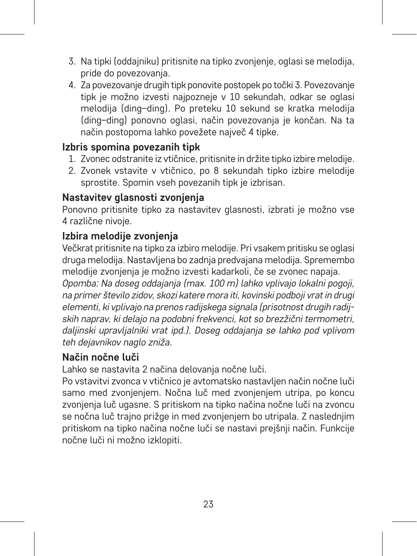- 3. Na tipki (oddajniku) pritisnite na tipko zvonjenje, oglasi se melodija, pride do povezovanja.
- 4. Za povezovanje drugih tipk ponovite postopek po točki 3. Povezovanje tipk je možno izvesti najpozneje v 10 sekundah, odkar se oglasi melodija (ding–ding). Po preteku 10 sekund se kratka melodija (ding–ding) ponovno oglasi, način povezovanja je končan. Na ta način postopoma lahko povežete največ 4 tipke.

#### **Izbris spomina povezanih tipk**

- 1. Zvonec odstranite iz vtičnice, pritisnite in držite tipko izbire melodije.
- 2. Zvonek vstavite v vtičnico, po 8 sekundah tipko izbire melodije sprostite. Spomin vseh povezanih tipk je izbrisan.

#### **Nastavitev glasnosti zvonjenja**

Ponovno pritisnite tipko za nastavitev glasnosti, izbrati je možno vse 4 različne nivoje.

## **Izbira melodije zvonjenja**

Večkrat pritisnite na tipko za izbiro melodije. Pri vsakem pritisku se oglasi druga melodija. Nastavljena bo zadnja predvajana melodija. Spremembo melodije zvonjenja je možno izvesti kadarkoli, če se zvonec napaja. *Opomba: Na doseg oddajanja (max. 100 m) lahko vplivajo lokalni pogoji, na primer število zidov, skozi katere mora iti, kovinski podboji vrat in drugi elementi, ki vplivajo na prenos radijskega signala (prisotnost drugih radijskih naprav, ki delajo na podobni frekvenci, kot so brezžični termometri, daljinski upravljalniki vrat ipd.). Doseg oddajanja se lahko pod vplivom teh dejavnikov naglo zniža.*

#### **Način nočne luči**

Lahko se nastavita 2 načina delovanja nočne luči.

Po vstavitvi zvonca v vtičnico je avtomatsko nastavljen način nočne luči samo med zvonjenjem. Nočna luč med zvonjenjem utripa, po koncu zvonjenja luč ugasne. S pritiskom na tipko načina nočne luči na zvoncu se nočna luč trajno prižge in med zvonjenjem bo utripala. Z naslednjim pritiskom na tipko načina nočne luči se nastavi prejšnji način. Funkcije nočne luči ni možno izklopiti.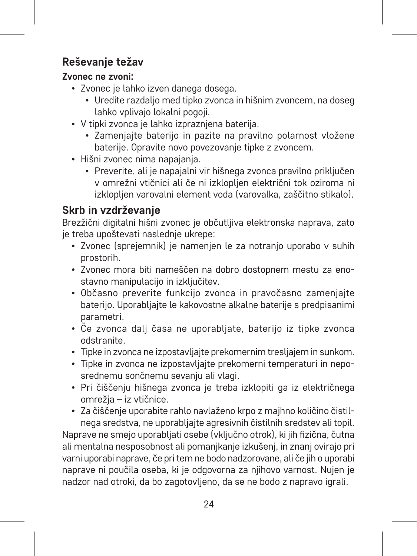# **Reševanje težav**

#### **Zvonec ne zvoni:**

- Zvonec je lahko izven danega dosega.
	- Uredite razdaljo med tipko zvonca in hišnim zvoncem, na doseg lahko vplivajo lokalni pogoji.
- V tipki zvonca je lahko izpraznjena baterija.
	- Zamenjajte baterijo in pazite na pravilno polarnost vložene baterije. Opravite novo povezovanje tipke z zvoncem.
- Hišni zvonec nima napajanja.
	- Preverite, ali je napajalni vir hišnega zvonca pravilno priključen v omrežni vtičnici ali če ni izklopljen električni tok oziroma ni izklonlien varovalni element voda (varovalka, zaščitno stikalo).

# **Skrb in vzdrževanje**

Brezžični digitalni hišni zvonec je občutljiva elektronska naprava, zato je treba upoštevati naslednje ukrepe:

- Zvonec (sprejemnik) je namenjen le za notranjo uporabo v suhih prostorih.
- Zvonec mora biti nameščen na dobro dostopnem mestu za enostavno manipulacijo in izključitev.
- Občasno preverite funkcijo zvonca in pravočasno zamenjajte baterijo. Uporabljajte le kakovostne alkalne baterije s predpisanimi parametri.
- Če zvonca dalj časa ne uporabljate, baterijo iz tipke zvonca odstranite.
- Tipke in zvonca ne izpostavljajte prekomernim tresljajem in sunkom.
- Tipke in zvonca ne izpostavljajte prekomerni temperaturi in neposrednemu sončnemu sevanju ali vlagi.
- Pri čiščenju hišnega zvonca je treba izklopiti ga iz električnega omrežja – iz vtičnice.
- Za čiščenje uporabite rahlo navlaženo krpo z majhno količino čistilnega sredstva, ne uporabljajte agresivnih čistilnih sredstev ali topil.

Naprave ne smejo uporabljati osebe (vključno otrok), ki jih fizična, čutna ali mentalna nesposobnost ali pomanjkanje izkušenj, in znanj ovirajo pri varni uporabi naprave, če pri tem ne bodo nadzorovane, ali če jih o uporabi naprave ni poučila oseba, ki je odgovorna za njihovo varnost. Nujen je nadzor nad otroki, da bo zagotovljeno, da se ne bodo z napravo igrali.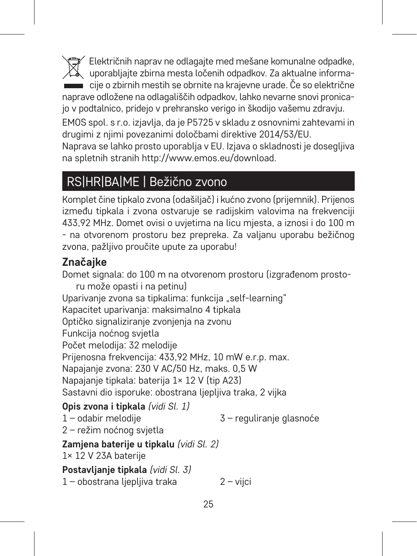Električnih naprav ne odlagajte med mešane komunalne odpadke, uporabljajte zbirna mesta ločenih odpadkov. Za aktualne informacije o zbirnih mestih se obrnite na krajevne urade. Če so električne naprave odložene na odlagališčih odpadkov, lahko nevarne snovi pronicajo v podtalnico, pridejo v prehransko verigo in škodijo vašemu zdravju.

EMOS spol. s r.o. izjavlja, da je P5725 v skladu z osnovnimi zahtevami in drugimi z njimi povezanimi določbami direktive 2014/53/EU.

Naprava se lahko prosto uporablja v EU. Izjava o skladnosti je dosegljiva na spletnih stranih http://www.emos.eu/download.

# RS|HR|BA|ME | Bežično zvono

Komplet čine tipkalo zvona (odašiljač) i kućno zvono (prijemnik). Prijenos između tipkala i zvona ostvaruje se radijskim valovima na frekvenciji 433,92 MHz. Domet ovisi o uvjetima na licu mjesta, a iznosi i do 100 m - na otvorenom prostoru bez prepreka. Za valjanu uporabu bežičnog zvona, pažljivo proučite upute za uporabu!

# **Značajke**

Domet signala: do 100 m na otvorenom prostoru (izgrađenom prostoru može opasti i na petinu) Uparivanie zvona sa tipkalima: funkcija "self-learning" Kapacitet uparivanja: maksimalno 4 tipkala Optičko signaliziranje zvonjenja na zvonu Funkcija noćnog svjetla Počet melodija: 32 melodije Prijenosna frekvencija: 433,92 MHz, 10 mW e.r.p. max. Napajanje zvona: 230 V AC/50 Hz, maks. 0,5 W Napajanje tipkala: baterija 1× 12 V (tip A23) Sastavni dio isporuke: obostrana liepliiva traka, 2 vijka

**Opis zvona i tipkala** *(vidi Sl. 1)* 1 – odabir melodije 2 – režim noćnog svjetla 3 – reguliranje glasnoće **Zamjena baterije u tipkalu** *(vidi Sl. 2)* 1× 12 V 23A baterije **Postavljanje tipkala** *(vidi Sl. 3)* 1 – obostrana ljepljiva traka 2 – vijci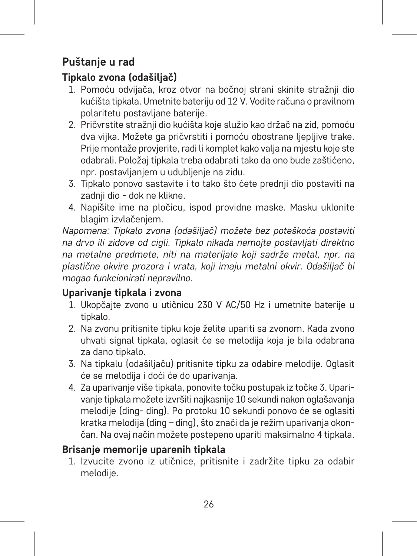# **Puštanje u rad**

# **Tipkalo zvona (odašiljač)**

- 1. Pomoću odvijača, kroz otvor na bočnoj strani skinite stražnji dio kućišta tipkala. Umetnite bateriju od 12 V. Vodite računa o pravilnom polaritetu postavljane baterije.
- 2. Pričvrstite stražnji dio kućišta koje služio kao držač na zid, pomoću dva vijka. Možete ga pričvrstiti i pomoću obostrane ljepljive trake. Prije montaže provjerite, radi li komplet kako valja na mjestu koje ste odabrali. Položaj tipkala treba odabrati tako da ono bude zaštićeno, npr. postavljanjem u udubljenje na zidu.
- 3. Tipkalo ponovo sastavite i to tako što ćete prednji dio postaviti na zadnii dio - dok ne klikne.
- 4. Napišite ime na pločicu, ispod providne maske. Masku uklonite blagim izvlačenjem.

*Napomena: Tipkalo zvona (odašiljač) možete bez poteškoća postaviti na drvo ili zidove od cigli. Tipkalo nikada nemojte postavljati direktno na metalne predmete, niti na materijale koji sadrže metal, npr. na plastične okvire prozora i vrata, koji imaju metalni okvir. Odašiljač bi mogao funkcionirati nepravilno.* 

#### **Uparivanje tipkala i zvona**

- 1. Ukopčajte zvono u utičnicu 230 V AC/50 Hz i umetnite baterije u tipkalo.
- 2. Na zvonu pritisnite tipku koje želite upariti sa zvonom. Kada zvono uhvati signal tipkala, oglasit će se melodija koja je bila odabrana za dano tipkalo.
- 3. Na tipkalu (odašiljaču) pritisnite tipku za odabire melodije. Oglasit će se melodija i doći će do uparivanja.
- 4. Za uparivanje više tipkala, ponovite točku postupak iz točke 3. Uparivanje tipkala možete izvršiti najkasnije 10 sekundi nakon oglašavanja melodije (ding- ding). Po protoku 10 sekundi ponovo će se oglasiti kratka melodija (ding – ding), što znači da je režim uparivanja okončan. Na ovaj način možete postepeno upariti maksimalno 4 tipkala.

## **Brisanje memorije uparenih tipkala**

1. Izvucite zvono iz utičnice, pritisnite i zadržite tipku za odabir melodije.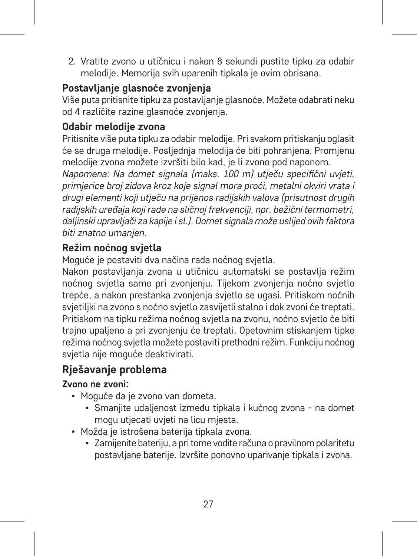2. Vratite zvono u utičnicu i nakon 8 sekundi pustite tipku za odabir melodije. Memorija svih uparenih tipkala je ovim obrisana.

# **Postavljanje glasnoće zvonjenja**

Više puta pritisnite tipku za postavljanje glasnoće. Možete odabrati neku od 4 različite razine glasnoće zvonjenja.

## **Odabir melodije zvona**

Pritisnite više puta tipku za odabir melodije. Pri svakom pritiskanju oglasit će se druga melodije. Posljednja melodija će biti pohranjena. Promjenu melodije zvona možete izvršiti bilo kad, je li zvono pod naponom.

*Napomena: Na domet signala (maks. 100 m) utječu specifični uvjeti, primjerice broj zidova kroz koje signal mora proći, metalni okviri vrata i drugi elementi koji utječu na prijenos radijskih valova (prisutnost drugih radijskih uređaja koji rade na sličnoj frekvenciji, npr. bežični termometri, daljinski upravljači za kapije i sl.). Domet signala može uslijed ovih faktora biti znatno umanjen.* 

## **Režim noćnog svjetla**

Moguće je postaviti dva načina rada noćnog svjetla.

Nakon postavljanja zvona u utičnicu automatski se postavlja režim noćnog svjetla samo pri zvonjenju. Tijekom zvonjenja noćno svjetlo trepće, a nakon prestanka zvonjenja svjetlo se ugasi. Pritiskom noćnih svjetiljki na zvono s noćno svjetlo zasvijetli stalno i dok zvoni će treptati. Pritiskom na tipku režima noćnog svjetla na zvonu, noćno svjetlo će biti trajno upaljeno a pri zvonjenju će treptati. Opetovnim stiskanjem tipke režima noćnog svjetla možete postaviti prethodni režim. Funkciju noćnog svjetla nije moguće deaktivirati.

# **Rješavanje problema**

#### **Zvono ne zvoni:**

- Moguće da je zvono van dometa.
	- Smanjite udaljenost između tipkala i kućnog zvona na domet mogu utjecati uvjeti na licu mjesta.
- Možda je istrošena baterija tipkala zvona.
	- Zamijenite bateriju, a pri tome vodite računa o pravilnom polaritetu postavljane baterije. Izvršite ponovno uparivanje tipkala i zvona.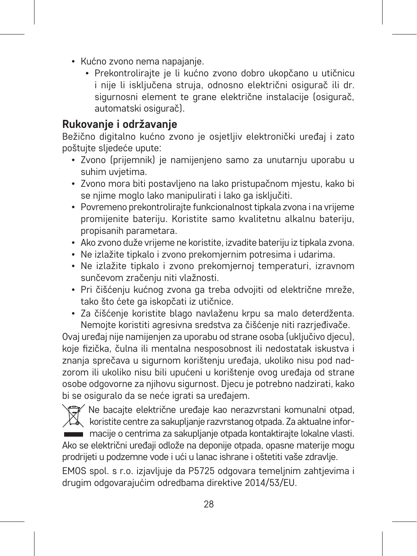- Kućno zvono nema napajanje.
	- Prekontrolirajte je li kućno zvono dobro ukopčano u utičnicu i nije li isključena struja, odnosno električni osigurač ili dr. sigurnosni element te grane električne instalacije (osigurač, automatski osigurač).

# **Rukovanje i održavanje**

Bežično digitalno kućno zvono je osjetljiv elektronički uređaj i zato poštujte sljedeće upute:

- Zvono (prijemnik) je namijenjeno samo za unutarnju uporabu u suhim uvjetima.
- Zvono mora biti postavljeno na lako pristupačnom mjestu, kako bi se njime moglo lako manipulirati i lako ga isključiti.
- Povremeno prekontrolirajte funkcionalnost tipkala zvona i na vrijeme promijenite bateriju. Koristite samo kvalitetnu alkalnu bateriju, propisanih parametara.
- Ako zvono duže vrijeme ne koristite, izvadite bateriju iz tipkala zvona.
- Ne izlažite tipkalo i zvono prekomjernim potresima i udarima.
- Ne izlažite tipkalo i zvono prekomjernoj temperaturi, izravnom sunčevom zračenju niti vlažnosti.
- Pri čišćenju kućnog zvona ga treba odvojiti od električne mreže, tako što ćete ga iskopčati iz utičnice.
- Za čišćenje koristite blago navlaženu krpu sa malo deterdženta. Nemojte koristiti agresivna sredstva za čišćenje niti razrjeđivače.

Ovaj uređaj nije namijenjen za uporabu od strane osoba (uključivo djecu), koje fizička, čulna ili mentalna nesposobnost ili nedostatak iskustva i znanja sprečava u sigurnom korištenju uređaja, ukoliko nisu pod nadzorom ili ukoliko nisu bili upućeni u korištenje ovog uređaja od strane osobe odgovorne za njihovu sigurnost. Djecu je potrebno nadzirati, kako bi se osiguralo da se neće igrati sa uređajem.

Ne bacajte električne uređaje kao nerazvrstani komunalni otpad, koristite centre za sakupljanje razvrstanog otpada. Za aktualne informacije o centrima za sakupljanje otpada kontaktirajte lokalne vlasti.

Ako se električni uređaji odlože na deponije otpada, opasne materije mogu prodrijeti u podzemne vode i ući u lanac ishrane i oštetiti vaše zdravlje.

EMOS spol. s r.o. izjavljuje da P5725 odgovara temeljnim zahtjevima i drugim odgovarajućim odredbama direktive 2014/53/EU.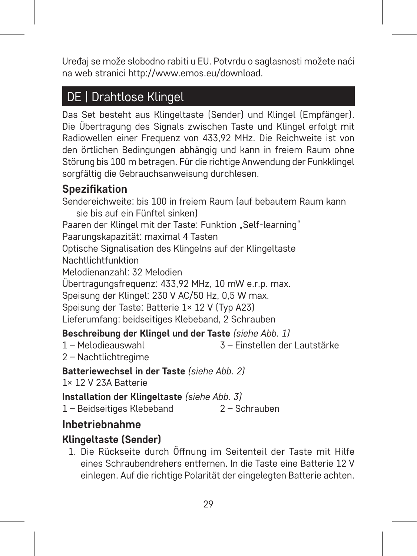Uređaj se može slobodno rabiti u EU. Potvrdu o saglasnosti možete naći na web stranici http://www.emos.eu/download.

# DE | Drahtlose Klingel

Das Set besteht aus Klingeltaste (Sender) und Klingel (Empfänger). Die Übertragung des Signals zwischen Taste und Klingel erfolgt mit Radiowellen einer Frequenz von 433,92 MHz. Die Reichweite ist von den örtlichen Bedingungen abhängig und kann in freiem Raum ohne Störung bis 100 m betragen. Für die richtige Anwendung der Funkklingel sorgfältig die Gebrauchsanweisung durchlesen.

# **Spezifikation**

Sendereichweite: bis 100 in freiem Raum (auf bebautem Raum kann sie bis auf ein Fünftel sinken) Paaren der Klingel mit der Taste: Funktion "Self-learning" Paarungskapazität: maximal 4 Tasten Optische Signalisation des Klingelns auf der Klingeltaste Nachtlichtfunktion Melodienanzahl: 32 Melodien Übertragungsfrequenz: 433,92 MHz, 10 mW e.r.p. max. Speisung der Klingel: 230 V AC/50 Hz, 0,5 W max. Speisung der Taste: Batterie 1× 12 V (Typ A23) Lieferumfang: beidseitiges Klebeband, 2 Schrauben **Beschreibung der Klingel und der Taste** *(siehe Abb. 1)* 1 – Melodieauswahl 3 – Einstellen der Lautstärke

2 – Nachtlichtregime

#### **Batteriewechsel in der Taste** *(siehe Abb. 2)*

1× 12 V 23A Batterie

**Installation der Klingeltaste** *(siehe Abb. 3)*

1 – Beidseitiges Klebeband 2 – Schrauben

# **Inbetriebnahme**

## **Klingeltaste (Sender)**

1. Die Rückseite durch Öffnung im Seitenteil der Taste mit Hilfe eines Schraubendrehers entfernen. In die Taste eine Batterie 12 V einlegen. Auf die richtige Polarität der eingelegten Batterie achten.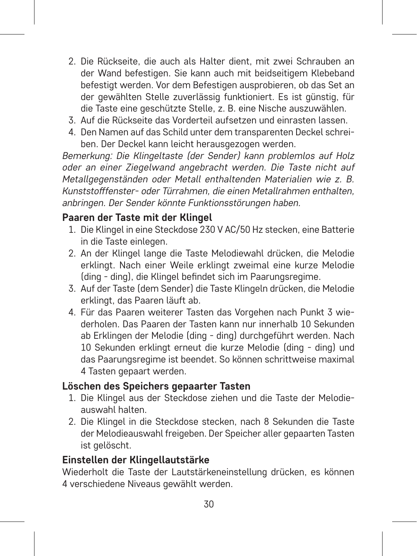- 2. Die Rückseite, die auch als Halter dient, mit zwei Schrauben an der Wand befestigen. Sie kann auch mit beidseitigem Klebeband befestigt werden. Vor dem Befestigen ausprobieren, ob das Set an der gewählten Stelle zuverlässig funktioniert. Es ist günstig, für die Taste eine geschützte Stelle, z. B. eine Nische auszuwählen.
- 3. Auf die Rückseite das Vorderteil aufsetzen und einrasten lassen.
- 4. Den Namen auf das Schild unter dem transparenten Deckel schreiben. Der Deckel kann leicht herausgezogen werden.

*Bemerkung: Die Klingeltaste (der Sender) kann problemlos auf Holz oder an einer Ziegelwand angebracht werden. Die Taste nicht auf Metallgegenständen oder Metall enthaltenden Materialien wie z. B. Kunststofffenster- oder Türrahmen, die einen Metallrahmen enthalten, anbringen. Der Sender könnte Funktionsstörungen haben.*

#### **Paaren der Taste mit der Klingel**

- 1. Die Klingel in eine Steckdose 230 V AC/50 Hz stecken, eine Batterie in die Taste einlegen.
- 2. An der Klingel lange die Taste Melodiewahl drücken, die Melodie erklingt. Nach einer Weile erklingt zweimal eine kurze Melodie (ding - ding), die Klingel befindet sich im Paarungsregime.
- 3. Auf der Taste (dem Sender) die Taste Klingeln drücken, die Melodie erklingt, das Paaren läuft ab.
- 4. Für das Paaren weiterer Tasten das Vorgehen nach Punkt 3 wiederholen. Das Paaren der Tasten kann nur innerhalb 10 Sekunden ab Erklingen der Melodie (ding - ding) durchgeführt werden. Nach 10 Sekunden erklingt erneut die kurze Melodie (ding - ding) und das Paarungsregime ist beendet. So können schrittweise maximal 4 Tasten gepaart werden.

#### **Löschen des Speichers gepaarter Tasten**

- 1. Die Klingel aus der Steckdose ziehen und die Taste der Melodieauswahl halten.
- 2. Die Klingel in die Steckdose stecken, nach 8 Sekunden die Taste der Melodieauswahl freigeben. Der Speicher aller gepaarten Tasten ist gelöscht.

#### **Einstellen der Klingellautstärke**

Wiederholt die Taste der Lautstärkeneinstellung drücken, es können 4 verschiedene Niveaus gewählt werden.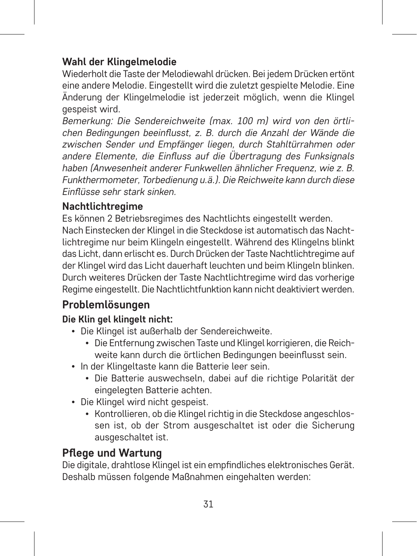# **Wahl der Klingelmelodie**

Wiederholt die Taste der Melodiewahl drücken. Bei jedem Drücken ertönt eine andere Melodie. Eingestellt wird die zuletzt gespielte Melodie. Eine Änderung der Klingelmelodie ist jederzeit möglich, wenn die Klingel gespeist wird.

*Bemerkung: Die Sendereichweite (max. 100 m) wird von den örtlichen Bedingungen beeinflusst, z. B. durch die Anzahl der Wände die zwischen Sender und Empfänger liegen, durch Stahltürrahmen oder andere Elemente, die Einfluss auf die Übertragung des Funksignals haben (Anwesenheit anderer Funkwellen ähnlicher Frequenz, wie z. B. Funkthermometer, Torbedienung u.ä.). Die Reichweite kann durch diese Einflüsse sehr stark sinken.*

#### **Nachtlichtregime**

Es können 2 Betriebsregimes des Nachtlichts eingestellt werden. Nach Einstecken der Klingel in die Steckdose ist automatisch das Nachtlichtregime nur beim Klingeln eingestellt. Während des Klingelns blinkt das Licht, dann erlischt es. Durch Drücken der Taste Nachtlichtregime auf der Klingel wird das Licht dauerhaft leuchten und beim Klingeln blinken. Durch weiteres Drücken der Taste Nachtlichtregime wird das vorherige Regime eingestellt. Die Nachtlichtfunktion kann nicht deaktiviert werden.

# **Problemlösungen**

#### **Die Klin gel klingelt nicht:**

- Die Klingel ist außerhalb der Sendereichweite.
	- Die Entfernung zwischen Taste und Klingel korrigieren, die Reichweite kann durch die örtlichen Bedingungen beeinflusst sein.
- In der Klingeltaste kann die Batterie leer sein.
	- Die Batterie auswechseln, dabei auf die richtige Polarität der eingelegten Batterie achten.
- Die Klingel wird nicht gespeist.
	- Kontrollieren, ob die Klingel richtig in die Steckdose angeschlossen ist, ob der Strom ausgeschaltet ist oder die Sicherung ausgeschaltet ist.

# **Pflege und Wartung**

Die digitale, drahtlose Klingel ist ein empfindliches elektronisches Gerät. Deshalb müssen folgende Maßnahmen eingehalten werden: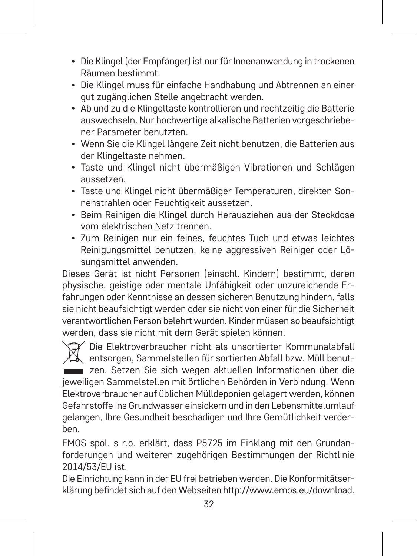- Die Klingel (der Empfänger) ist nur für Innenanwendung in trockenen Räumen bestimmt.
- Die Klingel muss für einfache Handhabung und Abtrennen an einer gut zugänglichen Stelle angebracht werden.
- Ab und zu die Klingeltaste kontrollieren und rechtzeitig die Batterie auswechseln. Nur hochwertige alkalische Batterien vorgeschriebener Parameter benutzten.
- Wenn Sie die Klingel längere Zeit nicht benutzen, die Batterien aus der Klingeltaste nehmen.
- Taste und Klingel nicht übermäßigen Vibrationen und Schlägen aussetzen.
- Taste und Klingel nicht übermäßiger Temperaturen, direkten Sonnenstrahlen oder Feuchtigkeit aussetzen.
- Beim Reinigen die Klingel durch Herausziehen aus der Steckdose vom elektrischen Netz trennen.
- Zum Reinigen nur ein feines, feuchtes Tuch und etwas leichtes Reinigungsmittel benutzen, keine aggressiven Reiniger oder Lösungsmittel anwenden.

Dieses Gerät ist nicht Personen (einschl. Kindern) bestimmt, deren physische, geistige oder mentale Unfähigkeit oder unzureichende Erfahrungen oder Kenntnisse an dessen sicheren Benutzung hindern, falls sie nicht beaufsichtigt werden oder sie nicht von einer für die Sicherheit verantwortlichen Person belehrt wurden. Kinder müssen so beaufsichtigt werden, dass sie nicht mit dem Gerät spielen können.

Die Elektroverbraucher nicht als unsortierter Kommunalabfall entsorgen, Sammelstellen für sortierten Abfall bzw. Müll benutzen. Setzen Sie sich wegen aktuellen Informationen über die jeweiligen Sammelstellen mit örtlichen Behörden in Verbindung. Wenn Elektroverbraucher auf üblichen Mülldeponien gelagert werden, können Gefahrstoffe ins Grundwasser einsickern und in den Lebensmittelumlauf gelangen, Ihre Gesundheit beschädigen und Ihre Gemütlichkeit verderben.

EMOS spol. s r.o. erklärt, dass P5725 im Einklang mit den Grundanforderungen und weiteren zugehörigen Bestimmungen der Richtlinie 2014/53/EU ist.

Die Einrichtung kann in der EU frei betrieben werden. Die Konformitätserklärung befindet sich auf den Webseiten http://www.emos.eu/download.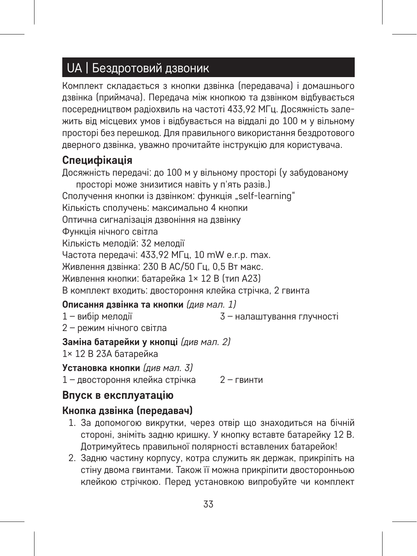# UA | Бездротовий дзвоник

Комплект складається з кнопки дзвінка (передавача) і домашнього дзвінка (приймача). Передача між кнопкою та дзвінком відбувається посередництвом радіохвиль на частоті 433,92 МГц. Досяжність залежить від місцевих умов і відбувається на віддалі до 100 м у вільному просторі без перешкод. Для правильного використання бездротового дверного дзвінка, уважно прочитайте інструкцію для користувача.

#### **Специфікація**

Досяжність передачі: до 100 м у вільному просторі (у забудованому просторі може знизитися навіть у п'ять разів.) Сполучення кнопки із дзвінком: функція "self-learning" Кількість сполучень: максимально 4 кнопки Оптична сигналізація дзвоніння на дзвінку Функція нічного світла Кількість мелодій: 32 мелодії Частота передачі: 433,92 МГц, 10 mW e.r.p. max. Живлення дзвінка: 230 В AC/50 Гц, 0,5 Вт макс. Живлення кнопки: батарейка 1× 12 В (тип A23) В комплект входить: двостороння клейка стрічка, 2 гвинта

#### **Описання дзвінка та кнопки** *(див мал. 1)*

1 – вибір мелодії 3 – налаштування глучності

2 – режим нічного світла

#### **Заміна батарейки у кнопці** *(див мал. 2)*

1× 12 В 23A батарейка

**Установка кнопки** *(див мал. 3)*

1 – двостороння клейка стрічка 2 – гвинти

#### **Впуск в експлуатацію**

#### **Кнопка дзвінка (передавач)**

- 1. За допомогою викрутки, через отвір що знаходиться на бічній стороні, зніміть задню кришку. У кнопку вставте батарейку 12 В. Дотримуйтесь правильної полярності вставлених батарейок!
- 2. Задню частину корпусу, котра служить як держак, прикріпіть на стіну двома гвинтами. Також її можна прикріпити двосторонньою клейкою стрічкою. Перед установкою випробуйте чи комплект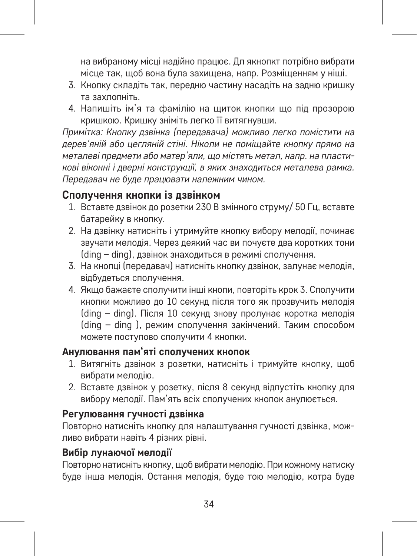на вибраному місці надійно працює. Дл якнопкт потрібно вибрати місце так, щоб вона була захищена, напр. Розміщенням у ніші.

- 3. Кнопку складіть так, передню частину насадіть на задню кришку та захлопніть.
- 4. Напишіть ім'я та фамілію на щиток кнопки що під прозорою кришкою. Кришку зніміть легко її витягнувши.

*Примітка: Кнопку дзвінка (передавача) можливо легко помістити на дерев'яній або цегляній стіні. Ніколи не поміщайте кнопку прямо на металеві предмети або матер'яли, що містять метал, напр. на пластикові віконні і дверні конструкції, в яких знаходиться металева рамка. Передавач не буде працювати належним чином.*

#### **Сполучення кнопки із дзвінком**

- 1. Вставте дзвінок до розетки 230 В змінного струму/ 50 Гц, вставте батарейку в кнопку.
- 2. На дзвінку натисніть і утримуйте кнопку вибору мелодії, починає звучати мелодія. Через деякий час ви почуєте два коротких тони (ding – ding), дзвінок знаходиться в режимі сполучення.
- 3. На кнопці (передавач) натисніть кнопку дзвінок, залунає мелодія, відбудеться сполучення.
- 4. Якщо бажаєте сполучити інші кнопи, повторіть крок 3. Сполучити кнопки можливо до 10 секунд після того як прозвучить мелодія (ding – ding). Після 10 секунд знову пролунає коротка мелодія (ding – ding ), режим сполучення закінчений. Таким способом можете поступово сполучити 4 кнопки.

#### **Анулювання пам'яті сполучених кнопок**

- 1. Витягніть дзвінок з розетки, натисніть і тримуйте кнопку, щоб вибрати мелодію.
- 2. Вставте дзвінок у розетку, після 8 секунд відпустіть кнопку для вибору мелодії. Пам'ять всіх сполучених кнопок анулюється.

#### **Регулювання гучності дзвінка**

Повторно натисніть кнопку для налаштування гучності дзвінка, можливо вибрати навіть 4 різних рівні.

#### **Вибір лунаючої мелодії**

Повторно натисніть кнопку, щоб вибрати мелодію. При кожному натиску буде інша мелодія. Остання мелодія, буде тою мелодію, котра буде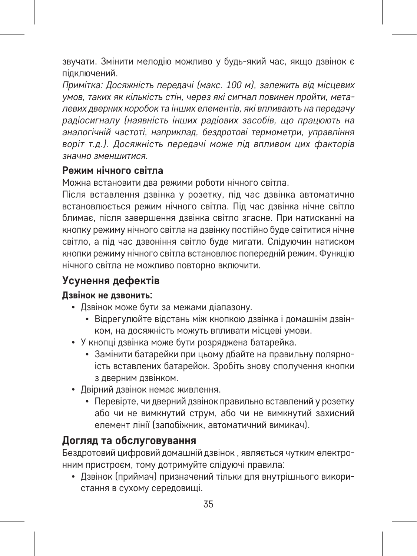звучати. Змінити мелодію можливо у будь-який час, якщо дзвінок є підключений.

*Примітка: Досяжність передачі (макс. 100 м), залежить від місцевих умов, таких як кількість стін, через які сигнал повинен пройти, металевих дверних коробок та інших елементів, які впливають на передачу радіосигналу (наявність інших радіових засобів, що працюють на*  ,<br>аналогічній частоті, наприклад, бездротові термометри, управління *воріт т.д.). Досяжність передачі може під впливом цих факторів значно зменшитися.*

#### **Режим нічного світла**

Можна встановити два режими роботи нічного світла.

Після вставлення дзвінка у розетку, під час дзвінка автоматично встановлюється режим нічного світла. Під час дзвінка нічне світло блимає, після завершення дзвінка світло згасне. При натисканні на кнопку режиму нічного світла на дзвінку постійно буде світитися нічне світло, а під час дзвоніння світло буде мигати. Слідуючин натиском кнопки режиму нічного світла встановлює попередній режим. Функцію нічного світла не можливо повторно включити.

# **Усунення дефектів**

#### **Дзвінок не дзвонить:**

- Дзвінок може бути за межами діапазону.
	- Відрегулюйте відстань між кнопкою дзвінка і домашнім дзвінком, на досяжність можуть впливати місцеві умови.
- У кнопці дзвінка може бути розряджена батарейка.
	- Замінити батарейки при цьому дбайте на правильну полярноість вставлених батарейок. Зробіть знову сполучення кнопки з дверним дзвінком.
- Двірний дзвінок немає живлення.
	- Перевірте, чи дверний дзвінок правильно вставлений у розетку або чи не вимкнутий струм, або чи не вимкнутий захисний елемент лінії (запобіжник, автоматичний вимикач).

#### **Догляд та обслуговування**

Бездротовий цифровий домашній дзвінок , являється чутким електронним пристроєм, тому дотримуйте слідуючі правила:

• Дзвінок (приймач) призначений тільки для внутрішнього використання в сухому середовищі.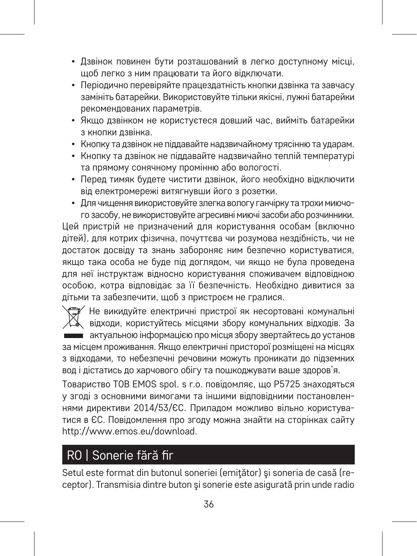- Дзвінок повинен бути розташований в легко доступному місці, щоб легко з ним працювати та його відключати.
- Періодично перевіряйте працездатність кнопки дзвінка та завчасу замініть батарейки. Використовуйте тільки якісні, лужні батарейки рекомендованих параметрів.
- Якщо дзвінком не користуєтеся довший час, вийміть батарейки з кнопки дзвінка.
- Кнопку та дзвінок не піддавайте надзвичайному трясінню та ударам.
- Кнопку та дзвінок не піддавайте надзвичайно теплій температурі та прямому сонячному промінню або вологості.
- Перед тимяк будете чистити дзвінок, його необхідно відключити від електромережі витягнувши його з розетки.
- Для чищення використовуйте злегка вологу ганчірку та трохи миючого засобу, не використовуйте агресивні миючі засоби або розчинники.

Цей пристрій не призначений для користування особам (включно дітей), для котрих фізична, почуттєва чи розумова нездібність, чи не достаток досвіду та знань забороняє ним безпечно користуватися, якщо така особа не буде під доглядом, чи якщо не була проведена для неї інструктаж відносно користування споживачем відповідною особою, котра відповідає за її безпечність. Необхідно дивитися за дітьми та забезпечити, щоб з пристроєм не гралися.

Не викидуйте електричні пристрої як несортовані комунальні відходи, користуйтесь місцями збору комунальних відходів. За актуальною інформацією про місця збору звертайтесь до установ за місцем проживання. Якщо електричні присторої розміщені на місцях з відходами, то небезпечні речовини можуть проникати до підземних вод і дістатись до харчового обігу та пошкоджувати ваше здоров'я.

Товариство ТОВ EMOS spol. s r.o. повідомляє, що P5725 знаходяться у згоді з основними вимогами та іншими відповідними постановлен-.<br>нями лирективи 2014/53/ЄС. Припалом можливо вільно користуватися в ЄС. Повідомлення про згоду можна знайти на сторінках сайту http://www.emos.eu/download.

# RO | Sonerie fără fir

Setul este format din butonul soneriei (emiţător) şi soneria de casă (receptor). Transmisia dintre buton şi sonerie este asigurată prin unde radio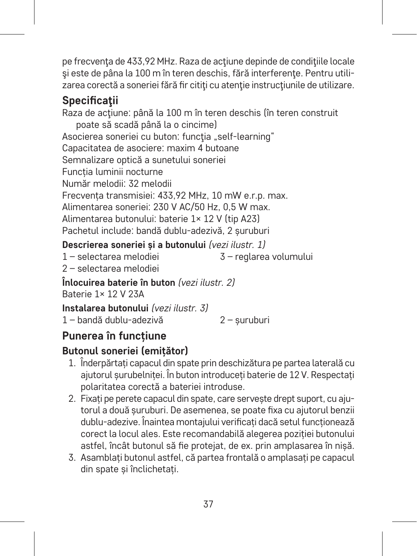pe frecventa de 433,92 MHz. Raza de actiune depinde de conditiile locale şi este de pâna la 100 m în teren deschis, fără interferenţe. Pentru utilizarea corectă a soneriei fără fir cititi cu atenție instrucțiunile de utilizare.

# **Specificaţii**

Raza de acţiune: până la 100 m în teren deschis (în teren construit poate să scadă până la o cincime) Asocierea soneriei cu buton: funcția "self-learning" Capacitatea de asociere: maxim 4 butoane Semnalizare optică a sunetului soneriei Funcția luminii nocturne Număr melodii: 32 melodii Frecvența transmisiei: 433,92 MHz, 10 mW e.r.p. max. Alimentarea soneriei: 230 V AC/50 Hz, 0,5 W max. Alimentarea butonului: baterie 1× 12 V (tip A23) Pachetul include: bandă dublu-adezivă, 2 șuruburi

#### **Descrierea soneriei și a butonului** *(vezi ilustr. 1)*

1 – selectarea melodiei 3 – reglarea volumului

2 – selectarea melodiei

**Înlocuirea baterie în buton** *(vezi ilustr. 2)* Baterie 1× 12 V 23A

**Instalarea butonului** *(vezi ilustr. 3)*

1 – bandă dublu-adezivă 2 – șuruburi

# **Punerea în funcțiune**

# **Butonul soneriei (emițător)**

- 1. Înderpărtați capacul din spate prin deschizătura pe partea laterală cu ajutorul șurubelniței. În buton introduceți baterie de 12 V. Respectați polaritatea corectă a bateriei introduse.
- 2. Fixați pe perete capacul din spate, care servește drept suport, cu ajutorul a două șuruburi. De asemenea, se poate fixa cu ajutorul benzii dublu-adezive. Înaintea montajului verificați dacă setul funcționează corect la locul ales. Este recomandabilă alegerea poziției butonului astfel, încât butonul să fie protejat, de ex. prin amplasarea în nișă.
- 3. Asamblați butonul astfel, că partea frontală o amplasați pe capacul din spate și înclichetați.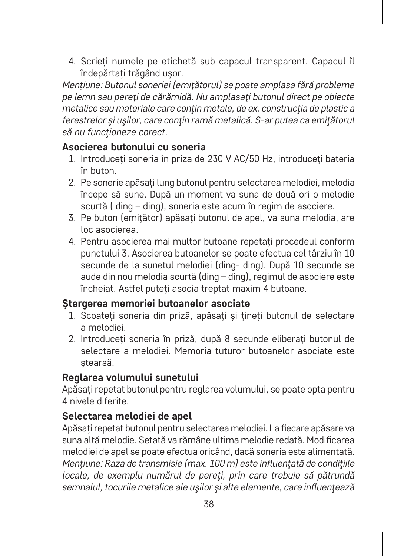4. Scrieți numele pe etichetă sub capacul transparent. Capacul îl îndepărtați trăgând ușor.

*Mențiune: Butonul soneriei (emiţătorul) se poate amplasa fără probleme pe lemn sau pereţi de cărămidă. Nu amplasaţi butonul direct pe obiecte metalice sau materiale care conţin metale, de ex. construcţia de plastic a ferestrelor şi uşilor, care conţin ramă metalică. S-ar putea ca emiţătorul să nu funcţioneze corect.*

#### **Asocierea butonului cu soneria**

- 1. Introduceți soneria în priza de 230 V AC/50 Hz, introduceți bateria în buton.
- 2. Pe sonerie apăsați lung butonul pentru selectarea melodiei, melodia începe să sune. După un moment va suna de două ori o melodie scurtă ( ding – ding), soneria este acum în regim de asociere.
- 3. Pe buton (emițător) apăsați butonul de apel, va suna melodia, are loc asocierea.
- 4. Pentru asocierea mai multor butoane repetați procedeul conform punctului 3. Asocierea butoanelor se poate efectua cel târziu în 10 secunde de la sunetul melodiei (ding- ding). După 10 secunde se aude din nou melodia scurtă (ding – ding), regimul de asociere este încheiat. Astfel puteți asocia treptat maxim 4 butoane.

#### **Ștergerea memoriei butoanelor asociate**

- 1. Scoateți soneria din priză, apăsați și țineți butonul de selectare a melodiei.
- 2. Introduceți soneria în priză, după 8 secunde eliberați butonul de selectare a melodiei. Memoria tuturor butoanelor asociate este ștearsă.

#### **Reglarea volumului sunetului**

Apăsați repetat butonul pentru reglarea volumului, se poate opta pentru 4 nivele diferite.

#### **Selectarea melodiei de apel**

Apăsați repetat butonul pentru selectarea melodiei. La fiecare apăsare va suna altă melodie. Setată va rămâne ultima melodie redată. Modificarea melodiei de apel se poate efectua oricând, dacă soneria este alimentată. *Mențiune: Raza de transmisie (max. 100 m) este influenţată de condiţiile locale, de exemplu numărul de pereţi, prin care trebuie să pătrundă semnalul, tocurile metalice ale uşilor şi alte elemente, care influenţează*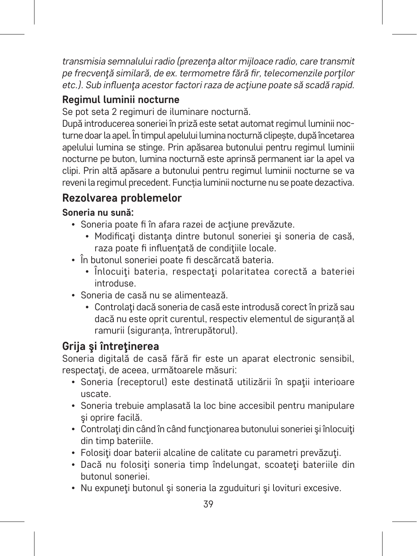*transmisia semnalului radio (prezenţa altor mijloace radio, care transmit pe frecvenţă similară, de ex. termometre fără fir, telecomenzile porţilor etc.). Sub influenţa acestor factori raza de acţiune poate să scadă rapid.*

# **Regimul luminii nocturne**

Se pot seta 2 regimuri de iluminare nocturnă.

După introducerea soneriei în priză este setat automat regimul luminii nocturne doar la apel. În timpul apelului lumina nocturnă clipește, după încetarea apelului lumina se stinge. Prin apăsarea butonului pentru regimul luminii nocturne pe buton, lumina nocturnă este aprinsă permanent iar la apel va clipi. Prin altă apăsare a butonului pentru regimul luminii nocturne se va reveni la regimul precedent. Funcția luminii nocturne nu se poate dezactiva.

# **Rezolvarea problemelor**

## **Soneria nu sună:**

- Soneria poate fi în afara razei de actiune prevăzute.
	- Modificati distanta dintre butonul soneriei și soneria de casă raza poate fi influentată de condițiile locale.
- În butonul soneriei poate fi descărcată bateria.
	- Înlocuiti bateria, respectați polaritatea corectă a bateriei introduse.
- Soneria de casă nu se alimentează.
	- Controlati dacă soneria de casă este introdusă corect în priză sau dacă nu este oprit curentul, respectiv elementul de siguranță al ramurii (siguranța, întrerupătorul).

# **Grija şi întreţinerea**

Soneria digitală de casă fără fir este un aparat electronic sensibil, respectați, de aceea, următoarele măsuri:

- Soneria (receptorul) este destinată utilizării în spații interioare uscate.
- Soneria trebuie amplasată la loc bine accesibil pentru manipulare şi oprire facilă.
- Controlaţi din când în când funcţionarea butonului soneriei şi înlocuiţi din timp bateriile.
- Folositi doar baterii alcaline de calitate cu parametri prevăzuți.
- Dacă nu folosiţi soneria timp îndelungat, scoateţi bateriile din butonul soneriei.
- Nu expuneti butonul și soneria la zguduituri și lovituri excesive.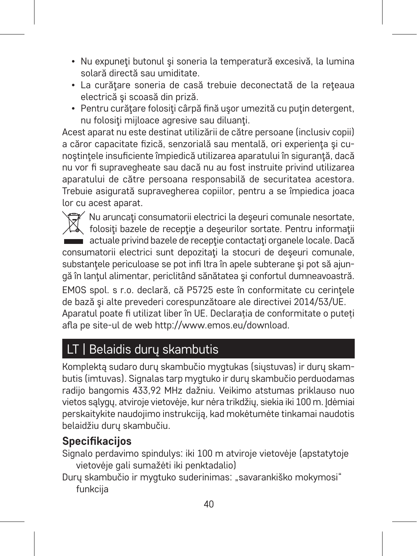- Nu expuneti butonul și soneria la temperatură excesivă, la lumina solară directă sau umiditate.
- La curătare soneria de casă trebuie deconectată de la rețeaua electrică şi scoasă din priză.
- Pentru curăţare folosiţi cârpă fină uşor umezită cu puţin detergent, nu folositi mijloace agresive sau diluanti.

Acest aparat nu este destinat utilizării de către persoane (inclusiv copii) a căror capacitate fizică, senzorială sau mentală, ori experienta și cunostintele insuficiente împiedică utilizarea aparatului în siguranță, dacă nu vor fi supravegheate sau dacă nu au fost instruite privind utilizarea aparatului de către persoana responsabilă de securitatea acestora. Trebuie asigurată supravegherea copiilor, pentru a se împiedica joaca lor cu acest aparat.

Nu aruncaţi consumatorii electrici la deşeuri comunale nesortate, folosiţi bazele de recepţie a deşeurilor sortate. Pentru informaţii actuale privind bazele de receptie contactati organele locale. Dacă consumatorii electrici sunt depozitati la stocuri de deseuri comunale. substantele periculoase se pot infi ltra în apele subterane și pot să ajungă în lanţul alimentar, periclitând sănătatea şi confortul dumneavoastră. EMOS spol. s r.o. declară, că P5725 este în conformitate cu cerintele de bază şi alte prevederi corespunzătoare ale directivei 2014/53/UE. Aparatul poate fi utilizat liber în UE. Declarația de conformitate o puteți afla pe site-ul de web http://www.emos.eu/download.

# LT | Belaidis durų skambutis

Komplektą sudaro durų skambučio mygtukas (siųstuvas) ir durų skambutis (imtuvas). Signalas tarp mygtuko ir durų skambučio perduodamas radijo bangomis 433,92 MHz dažniu. Veikimo atstumas priklauso nuo vietos sąlygų, atviroje vietovėje, kur nėra trikdžių, siekia iki 100 m. Idėmiai perskaitykite naudojimo instrukciją, kad mokėtumėte tinkamai naudotis belaidžiu durų skambučiu.

# **Specifikacijos**

Signalo perdavimo spindulys: iki 100 m atviroje vietovėje (apstatytoje vietovėje gali sumažėti iki penktadalio)

Durų skambučio ir mygtuko suderinimas: "savarankiško mokymosi" funkcija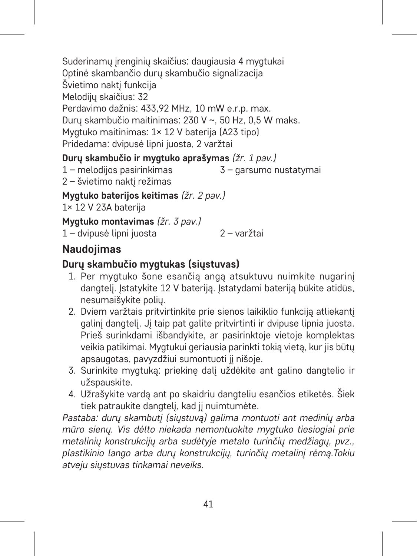Suderinamų įrenginių skaičius: daugiausia 4 mygtukai Optinė skambančio durų skambučio signalizacija Švietimo naktį funkcija Melodijų skaičius: 32 Perdavimo dažnis: 433,92 MHz, 10 mW e.r.p. max. Durų skambučio maitinimas: 230 V ~, 50 Hz, 0,5 W maks. Mygtuko maitinimas: 1× 12 V baterija (A23 tipo) Pridedama: dvipusė lipni juosta, 2 varžtai

#### **Durų skambučio ir mygtuko aprašymas** *(žr. 1 pav.)*

1 – melodijos pasirinkimas 3 – garsumo nustatymai

2 – švietimo naktį režimas

**Mygtuko baterijos keitimas** *(žr. 2 pav.)*

1× 12 V 23A baterija

**Mygtuko montavimas** *(žr. 3 pav.)*

1 – dvipusė lipni juosta 2 – varžtai

# **Naudojimas**

#### **Durų skambučio mygtukas (siųstuvas)**

- 1. Per mygtuko šone esančią angą atsuktuvu nuimkite nugarinį dangtelį. Įstatykite 12 V bateriją. Įstatydami bateriją būkite atidūs, nesumaišykite polių.
- 2. Dviem varžtais pritvirtinkite prie sienos laikiklio funkciją atliekantį galinį dangtelį. Jį taip pat galite pritvirtinti ir dvipuse lipnia juosta. Prieš surinkdami išbandykite, ar pasirinktoje vietoje komplektas veikia patikimai. Mygtukui geriausia parinkti tokią vietą, kur jis būtų apsaugotas, pavyzdžiui sumontuoti jį nišoje.
- 3. Surinkite mygtuką: priekinę dalį uždėkite ant galino dangtelio ir užspauskite.
- 4. Užrašykite vardą ant po skaidriu dangteliu esančios etiketės. Šiek tiek patraukite dangtelį, kad jį nuimtumėte.

*Pastaba: durų skambutį (siųstuvą) galima montuoti ant medinių arba mūro sienų. Vis dėlto niekada nemontuokite mygtuko tiesiogiai prie metalinių konstrukcijų arba sudėtyje metalo turinčių medžiagų, pvz., plastikinio lango arba durų konstrukcijų, turinčių metalinį rėmą.Tokiu atveju siųstuvas tinkamai neveiks.*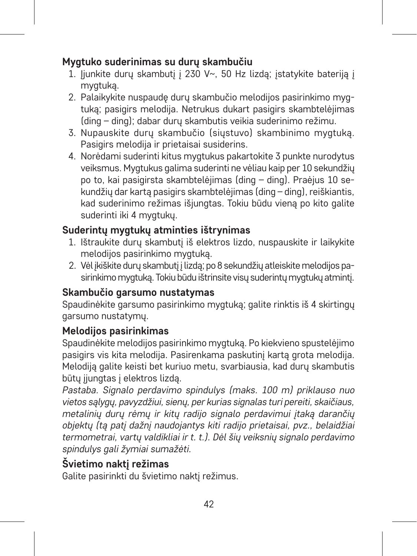## **Mygtuko suderinimas su durų skambučiu**

- 1. liunkite durų skambutį į 230 V~, 50 Hz lizdą; įstatykite bateriją į mygtuką.
- 2. Palaikykite nuspaudę durų skambučio melodijos pasirinkimo mygtuką; pasigirs melodija. Netrukus dukart pasigirs skambtelėjimas (ding – ding); dabar durų skambutis veikia suderinimo režimu.
- 3. Nupauskite durų skambučio (siųstuvo) skambinimo mygtuką. Pasigirs melodija ir prietaisai susiderins.
- 4. Norėdami suderinti kitus mygtukus pakartokite 3 punkte nurodytus veiksmus. Mygtukus galima suderinti ne vėliau kaip per 10 sekundžių po to, kai pasigirsta skambtelėjimas (ding – ding). Praėjus 10 sekundžių dar kartą pasigirs skambtelėjimas (ding – ding), reiškiantis, kad suderinimo režimas išjungtas. Tokiu būdu vieną po kito galite suderinti iki 4 mygtukų.

# **Suderintų mygtukų atminties ištrynimas**

- 1. Ištraukite durų skambutį iš elektros lizdo, nuspauskite ir laikykite melodijos pasirinkimo mygtuką.
- 2. Vėl įkiškite durų skambutį į lizdą; po 8 sekundžių atleiskite melodijos pasirinkimo mygtuką. Tokiu būdu ištrinsite visų suderintų mygtukų atmintį.

# **Skambučio garsumo nustatymas**

Spaudinėkite garsumo pasirinkimo mygtuką; galite rinktis iš 4 skirtingų garsumo nustatymų.

## **Melodijos pasirinkimas**

Spaudinėkite melodijos pasirinkimo mygtuką. Po kiekvieno spustelėjimo pasigirs vis kita melodija. Pasirenkama paskutinį kartą grota melodija. Melodiją galite keisti bet kuriuo metu, svarbiausia, kad durų skambutis būtų jiungtas į elektros lizdą.

*Pastaba. Signalo perdavimo spindulys (maks. 100 m) priklauso nuo vietos sąlygų, pavyzdžiui, sienų, per kurias signalas turi pereiti, skaičiaus, metalinių durų rėmų ir kitų radijo signalo perdavimui įtaką darančių objektų (tą patį dažnį naudojantys kiti radijo prietaisai, pvz., belaidžiai termometrai, vartų valdikliai ir t. t.). Dėl šių veiksnių signalo perdavimo spindulys gali žymiai sumažėti.*

# **Švietimo naktį režimas**

Galite pasirinkti du švietimo naktį režimus.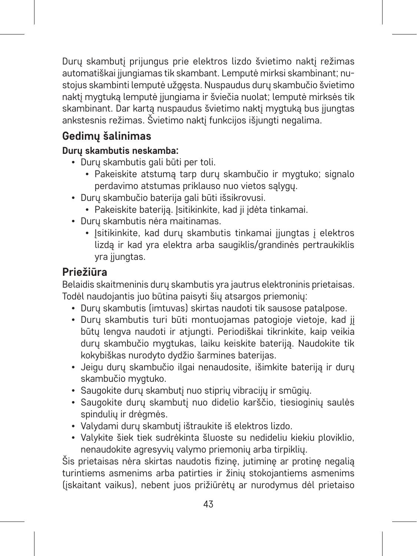Durų skambutį prijungus prie elektros lizdo švietimo naktį režimas automatiškai ijungiamas tik skambant. Lemputė mirksi skambinant; nustojus skambinti lemputė užgęsta. Nuspaudus durų skambučio švietimo naktį mygtuką lemputė įjungiama ir šviečia nuolat; lemputė mirksės tik skambinant. Dar kartą nuspaudus švietimo naktį mygtuką bus įjungtas ankstesnis režimas. Švietimo naktį funkcijos išjungti negalima.

# **Gedimų šalinimas**

## **Durų skambutis neskamba:**

- Durų skambutis gali būti per toli.
	- Pakeiskite atstumą tarp durų skambučio ir mygtuko; signalo perdavimo atstumas priklauso nuo vietos sąlygų.
- Durų skambučio baterija gali būti išsikrovusi.
	- Pakeiskite baterija. Įsitikinkite, kad ji įdėta tinkamai.
- Durų skambutis nėra maitinamas.
	- Isitikinkite, kad duru skambutis tinkamai jiungtas į elektros lizdą ir kad yra elektra arba saugiklis/grandinės pertraukiklis yra jiungtas.

# **Priežiūra**

Belaidis skaitmeninis durų skambutis yra jautrus elektroninis prietaisas. Todėl naudojantis juo būtina paisyti šių atsargos priemonių:

- Durų skambutis (imtuvas) skirtas naudoti tik sausose patalpose.
- Durų skambutis turi būti montuojamas patogioje vietoje, kad jį būtų lengva naudoti ir atjungti. Periodiškai tikrinkite, kaip veikia durų skambučio mygtukas, laiku keiskite bateriją. Naudokite tik kokybiškas nurodyto dydžio šarmines baterijas.
- Jeigu durų skambučio ilgai nenaudosite, išimkite bateriją ir durų skambučio mygtuko.
- Saugokite durų skambutį nuo stiprių vibracijų ir smūgių.
- Saugokite durų skambutį nuo didelio karščio, tiesioginių saulės spindulių ir drėgmės.
- Valydami durų skambutį ištraukite iš elektros lizdo.
- Valykite šiek tiek sudrėkinta šluoste su nedideliu kiekiu ploviklio, nenaudokite agresyvių valymo priemonių arba tirpiklių.

Šis prietaisas nėra skirtas naudotis fizinę, jutiminę ar protinę negalią turintiems asmenims arba patirties ir žinių stokojantiems asmenims (įskaitant vaikus), nebent juos prižiūrėtų ar nurodymus dėl prietaiso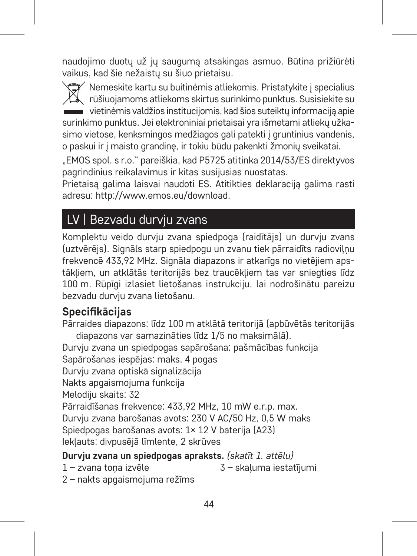naudojimo duotų už jų saugumą atsakingas asmuo. Būtina prižiūrėti vaikus, kad šie nežaistų su šiuo prietaisu.

 $^\prime$  Nemeskite kartu su buitinėmis atliekomis. Pristatykite į specialius. rūšiuojamoms atliekoms skirtus surinkimo punktus. Susisiekite su vietinėmis valdžios institucijomis, kad šios suteiktų informaciją apie surinkimo punktus. Jei elektroniniai prietaisai yra išmetami atliekų užkasimo vietose, kenksmingos medžiagos gali patekti į gruntinius vandenis, o paskui ir į maisto grandinę, ir tokiu būdu pakenkti žmonių sveikatai.

"EMOS spol. s r.o." pareiškia, kad P5725 atitinka 2014/53/ES direktyvos pagrindinius reikalavimus ir kitas susijusias nuostatas.

Prietaisą galima laisvai naudoti ES. Atitikties deklaraciją galima rasti adresu: http://www.emos.eu/download.

# LV | Bezvadu durvju zvans

Komplektu veido durvju zvana spiedpoga (raidītājs) un durvju zvans (uztvērējs). Signāls starp spiedpogu un zvanu tiek pārraidīts radioviļņu frekvencē 433,92 MHz. Signāla diapazons ir atkarīgs no vietējiem apstākļiem, un atklātās teritorijās bez traucēkļiem tas var sniegties līdz 100 m. Rūpīgi izlasiet lietošanas instrukciju, lai nodrošinātu pareizu bezvadu durvju zvana lietošanu.

# **Specifikācijas**

Pārraides diapazons: līdz 100 m atklātā teritorijā (apbūvētās teritorijās diapazons var samazināties līdz 1/5 no maksimālā). Durvju zvana un spiedpogas sapārošana: pašmācības funkcija Sapārošanas iespējas: maks. 4 pogas Durvju zvana optiskā signalizācija Nakts apgaismojuma funkcija Melodiju skaits: 32 Pārraidīšanas frekvence: 433,92 MHz, 10 mW e.r.p. max. Durvju zvana barošanas avots: 230 V AC/50 Hz, 0,5 W maks Spiedpogas barošanas avots: 1× 12 V baterija (A23) Iekļauts: divpusējā līmlente, 2 skrūves **Durvju zvana un spiedpogas apraksts.** *(skatīt 1. attēlu)* 1 – zvana toņa izvēle 3 – skaļuma iestatījumi

2 – nakts apgaismojuma režīms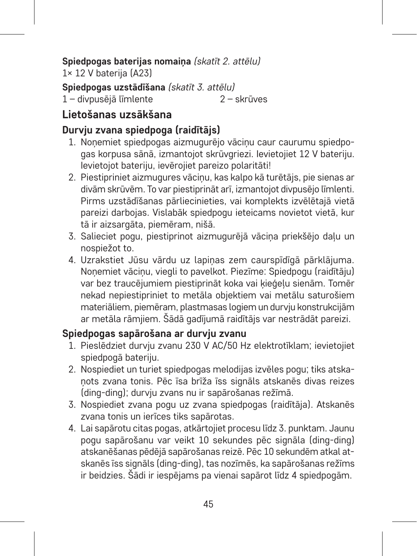# **Spiedpogas baterijas nomaiņa** *(skatīt 2. attēlu)*

1× 12 V baterija (A23)

**Spiedpogas uzstādīšana** *(skatīt 3. attēlu)* 1 – divnusējā līmlente

## **Lietošanas uzsākšana**

#### **Durvju zvana spiedpoga (raidītājs)**

- 1. Noņemiet spiedpogas aizmugurējo vāciņu caur caurumu spiedpogas korpusa sānā, izmantojot skrūvgriezi. Ievietojiet 12 V bateriju. Ievietojot bateriju, ievērojiet pareizo polaritāti!
- 2. Piestipriniet aizmugures vāciņu, kas kalpo kā turētājs, pie sienas ar divām skrūvēm. To var piestiprināt arī, izmantojot divpusējo līmlenti. Pirms uzstādīšanas pārliecinieties, vai komplekts izvēlētajā vietā pareizi darbojas. Vislabāk spiedpogu ieteicams novietot vietā, kur tā ir aizsargāta, piemēram, nišā.
- 3. Salieciet pogu, piestiprinot aizmugurējā vācina priekšējo daļu un nospiežot to.
- 4. Uzrakstiet Jūsu vārdu uz lapiņas zem caurspīdīgā pārklājuma. Noņemiet vāciņu, viegli to pavelkot. Piezīme: Spiedpogu (raidītāju) var bez traucējumiem piestiprināt koka vai kieģeļu sienām. Tomēr nekad nepiestipriniet to metāla objektiem vai metālu saturošiem materiāliem, piemēram, plastmasas logiem un durvju konstrukcijām ar metāla rāmjiem. Šādā gadījumā raidītājs var nestrādāt pareizi.

#### **Spiedpogas sapārošana ar durvju zvanu**

- 1. Pieslēdziet durvju zvanu 230 V AC/50 Hz elektrotīklam; ievietojiet spiedpogā bateriju.
- 2. Nospiediet un turiet spiedpogas melodijas izvēles pogu; tiks atskaņots zvana tonis. Pēc īsa brīža īss signāls atskanēs divas reizes (ding-ding); durvju zvans nu ir sapārošanas režīmā.
- 3. Nospiediet zvana pogu uz zvana spiedpogas (raidītāja). Atskanēs zvana tonis un ierīces tiks sapārotas.
- 4. Lai sapārotu citas pogas, atkārtojiet procesu līdz 3. punktam. Jaunu pogu sapārošanu var veikt 10 sekundes pēc signāla (ding-ding) atskanēšanas pēdējā sapārošanas reizē. Pēc 10 sekundēm atkal atskanēs īss signāls (ding-ding), tas nozīmēs, ka sapārošanas režīms ir beidzies. Šādi ir iespējams pa vienai sapārot līdz 4 spiedpogām.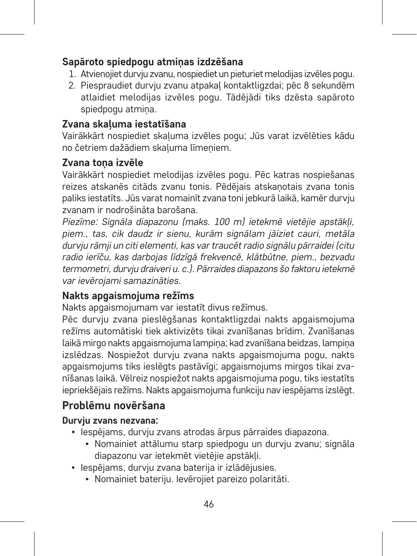#### **Sapāroto spiedpogu atmiņas izdzēšana**

- 1. Atvienojiet durvju zvanu, nospiediet un pieturiet melodijas izvēles pogu.
- 2. Piespraudiet durvju zvanu atpakaļ kontaktligzdai; pēc 8 sekundēm atlaidiet melodijas izvēles pogu. Tādējādi tiks dzēsta sapāroto spiedpogu atmiņa.

#### **Zvana skaļuma iestatīšana**

Vairākkārt nospiediet skaļuma izvēles pogu; Jūs varat izvēlēties kādu no četriem dažādiem skaļuma līmeņiem.

#### **Zvana toņa izvēle**

Vairākkārt nospiediet melodijas izvēles pogu. Pēc katras nospiešanas reizes atskanēs citāds zvanu tonis. Pēdējais atskaņotais zvana tonis paliks iestatīts. Jūs varat nomainīt zvana toni jebkurā laikā, kamēr durvju .<br>zvanam ir nodrošināta barošana.

*Piezīme: Signāla diapazonu (maks. 100 m) ietekmē vietējie apstākļi, piem., tas, cik daudz ir sienu, kurām signālam jāiziet cauri, metāla durvju rāmji un citi elementi, kas var traucēt radio signālu pārraidei (citu radio ierīču, kas darbojas līdzīgā frekvencē, klātbūtne, piem., bezvadu termometri, durvju draiveri u. c.). Pārraides diapazons šo faktoru ietekmē var ievērojami samazināties.*

# **Nakts apgaismojuma režīms**

Nakts apgaismojumam var iestatīt divus režīmus.

Pēc durvju zvana pieslēgšanas kontaktligzdai nakts apgaismojuma režīms automātiski tiek aktivizēts tikai zvanīšanas brīdim. Zvanīšanas laikā mirgo nakts apgaismojuma lampiņa; kad zvanīšana beidzas, lampiņa izslēdzas. Nospiežot durviu zvana nakts apgaismojuma pogu, nakts apgaismojums tiks ieslēgts pastāvīgi; apgaismojums mirgos tikai zvanīšanas laikā. Vēlreiz nospiežot nakts apgaismojuma pogu, tiks iestatīts iepriekšējais režīms. Nakts apgaismojuma funkciju nav iespējams izslēgt.

# **Problēmu novēršana**

#### **Durvju zvans nezvana:**

- Iespējams, durvju zvans atrodas ārpus pārraides diapazona.
	- Nomainiet attālumu starp spiedpogu un durvju zvanu; signāla diapazonu var ietekmēt vietējie apstākļi.
- Iespējams, durvju zvana baterija ir izlādējusies.
	- Nomainiet bateriju. Ievērojiet pareizo polaritāti.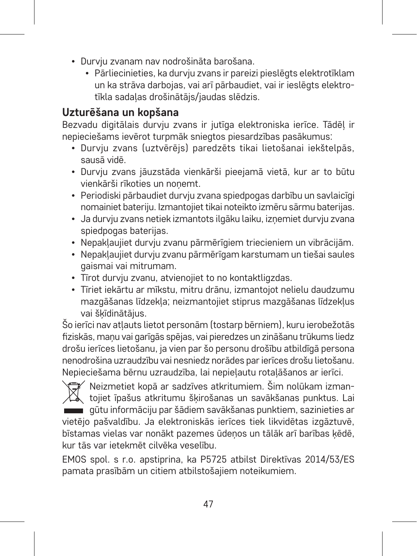- Durvju zvanam nav nodrošināta barošana.
	- Pārliecinieties, ka durvju zvans ir pareizi pieslēgts elektrotīklam un ka strāva darbojas, vai arī pārbaudiet, vai ir ieslēgts elektrotīkla sadaļas drošinātājs/jaudas slēdzis.

#### **Uzturēšana un kopšana**

Bezvadu digitālais durvju zvans ir jutīga elektroniska ierīce. Tādēļ ir nepieciešams ievērot turpmāk sniegtos piesardzības pasākumus:

- Durvju zvans (uztvērējs) paredzēts tikai lietošanai iekštelpās, sausā vidē.
- Durvju zvans jāuzstāda vienkārši pieejamā vietā, kur ar to būtu vienkārši rīkoties un noņemt.
- Periodiski pārbaudiet durvju zvana spiedpogas darbību un savlaicīgi nomainiet bateriju. Izmantojiet tikai noteikto izmēru sārmu baterijas.
- Ja durvju zvans netiek izmantots ilgāku laiku, izņemiet durvju zvana spiedpogas baterijas.
- Nepakļaujiet durvju zvanu pārmērīgiem triecieniem un vibrācijām.
- Nepakļaujiet durvju zvanu pārmērīgam karstumam un tiešai saules gaismai vai mitrumam.
- Tīrot durviu zvanu, atvienojiet to no kontaktligzdas.
- Tīriet iekārtu ar mīkstu, mitru drānu, izmantojot nelielu daudzumu mazgāšanas līdzekļa; neizmantojiet stiprus mazgāšanas līdzekļus vai šķīdinātājus.

Šo ierīci nav atļauts lietot personām (tostarp bērniem), kuru ierobežotās fiziskās, maņu vai garīgās spējas, vai pieredzes un zināšanu trūkums liedz drošu ierīces lietošanu, ja vien par šo personu drošību atbildīgā persona nenodrošina uzraudzību vai nesniedz norādes par ierīces drošu lietošanu. Nepieciešama bērnu uzraudzība, lai nepieļautu rotaļāšanos ar ierīci.

Neizmetiet kopā ar sadzīves atkritumiem. Šim nolūkam izman-XX tojiet īpašus atkritumu šķirošanas un savākšanas punktus. Lai gūtu informāciju par šādiem savākšanas punktiem, sazinieties ar vietējo pašvaldību. Ja elektroniskās ierīces tiek likvidētas izgāztuvē, bīstamas vielas var nonākt pazemes ūdeņos un tālāk arī barības ķēdē, kur tās var ietekmēt cilvēka veselību.

EMOS spol. s r.o. apstiprina, ka P5725 atbilst Direktīvas 2014/53/ES pamata prasībām un citiem atbilstošajiem noteikumiem.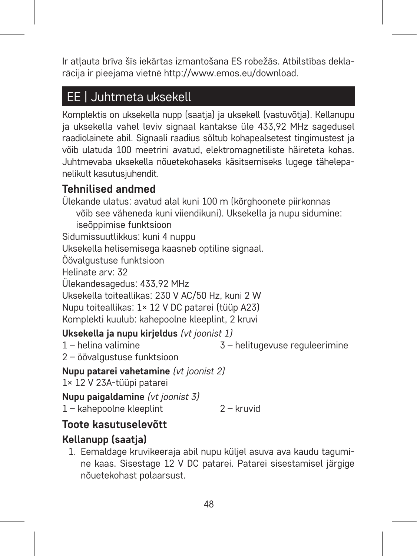Ir atļauta brīva šīs iekārtas izmantošana ES robežās. Atbilstības deklarācija ir pieejama vietnē http://www.emos.eu/download.

# EE | Juhtmeta uksekell

Komplektis on uksekella nupp (saatja) ja uksekell (vastuvõtja). Kellanupu ja uksekella vahel leviv signaal kantakse üle 433,92 MHz sagedusel raadiolainete abil. Signaali raadius sõltub kohapealsetest tingimustest ja võib ulatuda 100 meetrini avatud, elektromagnetiliste häireteta kohas. Juhtmevaba uksekella nõuetekohaseks käsitsemiseks lugege tähelepanelikult kasutusjuhendit.

# **Tehnilised andmed**

Ülekande ulatus: avatud alal kuni 100 m (kõrghoonete piirkonnas võib see väheneda kuni viiendikuni). Uksekella ja nupu sidumine:

iseõppimise funktsioon

Sidumissuutlikkus: kuni 4 nuppu

Uksekella helisemisega kaasneb optiline signaal.

Öövalgustuse funktsioon

Helinate arv: 32

Ülekandesagedus: 433,92 MHz

Uksekella toiteallikas: 230 V AC/50 Hz, kuni 2 W

Nupu toiteallikas: 1× 12 V DC patarei (tüüp A23)

Komplekti kuulub: kahepoolne kleeplint, 2 kruvi

## **Uksekella ja nupu kirjeldus** *(vt joonist 1)*

1 – helina valimine

3 – helitugevuse reguleerimine

2 – öövalgustuse funktsioon

#### **Nupu patarei vahetamine** *(vt joonist 2)*

1× 12 V 23A-tüüpi patarei

**Nupu paigaldamine** *(vt joonist 3)*

1 – kahepoolne kleeplint 2 – kruvid

# **Toote kasutuselevõtt**

# **Kellanupp (saatja)**

1. Eemaldage kruvikeeraja abil nupu küljel asuva ava kaudu tagumine kaas. Sisestage 12 V DC patarei. Patarei sisestamisel järgige nõuetekohast polaarsust.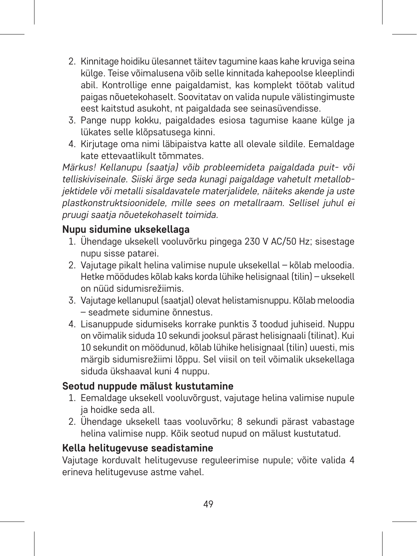- 2. Kinnitage hoidiku ülesannet täitev tagumine kaas kahe kruviga seina külge. Teise võimalusena võib selle kinnitada kahepoolse kleeplindi abil. Kontrollige enne paigaldamist, kas komplekt töötab valitud paigas nõuetekohaselt. Soovitatav on valida nupule välistingimuste eest kaitstud asukoht, nt paigaldada see seinasüvendisse.
- 3. Pange nupp kokku, paigaldades esiosa tagumise kaane külge ja lükates selle klõpsatusega kinni.
- 4. Kirjutage oma nimi läbipaistva katte all olevale sildile. Eemaldage kate ettevaatlikult tõmmates.

*Märkus! Kellanupu (saatja) võib probleemideta paigaldada puit- või telliskiviseinale. Siiski ärge seda kunagi paigaldage vahetult metallobjektidele või metalli sisaldavatele materjalidele, näiteks akende ja uste plastkonstruktsioonidele, mille sees on metallraam. Sellisel juhul ei pruugi saatja nõuetekohaselt toimida.*

#### **Nupu sidumine uksekellaga**

- 1. Ühendage uksekell vooluvõrku pingega 230 V AC/50 Hz; sisestage nupu sisse patarei.
- 2. Vajutage pikalt helina valimise nupule uksekellal kõlab meloodia. Hetke möödudes kõlab kaks korda lühike helisignaal (tilin) – uksekell on nüüd sidumisrežiimis.
- 3. Vajutage kellanupul (saatjal) olevat helistamisnuppu. Kõlab meloodia – seadmete sidumine õnnestus.
- 4. Lisanuppude sidumiseks korrake punktis 3 toodud juhiseid. Nuppu on võimalik siduda 10 sekundi jooksul pärast helisignaali (tilinat). Kui 10 sekundit on möödunud, kõlab lühike helisignaal (tilin) uuesti, mis märgib sidumisrežiimi lõppu. Sel viisil on teil võimalik uksekellaga siduda ükshaaval kuni 4 nuppu.

#### **Seotud nuppude mälust kustutamine**

- 1. Eemaldage uksekell vooluvõrgust, vajutage helina valimise nupule ja hoidke seda all.
- 2. Ühendage uksekell taas vooluvõrku; 8 sekundi pärast vabastage helina valimise nupp. Kõik seotud nupud on mälust kustutatud.

#### **Kella helitugevuse seadistamine**

Vajutage korduvalt helitugevuse reguleerimise nupule; võite valida 4 erineva helitugevuse astme vahel.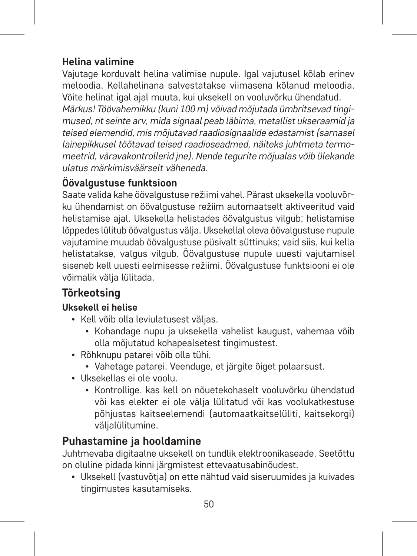#### **Helina valimine**

Vajutage korduvalt helina valimise nupule. Igal vajutusel kõlab erinev meloodia. Kellahelinana salvestatakse viimasena kõlanud meloodia. Võite helinat igal ajal muuta, kui uksekell on vooluvõrku ühendatud. *Märkus! Töövahemikku (kuni 100 m) võivad mõjutada ümbritsevad tingimused, nt seinte arv, mida signaal peab läbima, metallist ukseraamid ja teised elemendid, mis mõjutavad raadiosignaalide edastamist (sarnasel lainepikkusel töötavad teised raadioseadmed, näiteks juhtmeta termomeetrid, väravakontrollerid jne). Nende tegurite mõjualas võib ülekande ulatus märkimisväärselt väheneda.*

# **Öövalgustuse funktsioon**

Saate valida kahe öövalgustuse režiimi vahel. Pärast uksekella vooluvõrku ühendamist on öövalgustuse režiim automaatselt aktiveeritud vaid helistamise ajal. Uksekella helistades öövalgustus vilgub; helistamise lõppedes lülitub öövalgustus välja. Uksekellal oleva öövalgustuse nupule vajutamine muudab öövalgustuse püsivalt süttinuks; vaid siis, kui kella helistatakse, valgus vilgub. Öövalgustuse nupule uuesti vajutamisel siseneb kell uuesti eelmisesse režiimi. Öövalgustuse funktsiooni ei ole võimalik välja lülitada.

# **Tõrkeotsing**

## **Uksekell ei helise**

- Kell võib olla leviulatusest väljas.
	- Kohandage nupu ja uksekella vahelist kaugust, vahemaa võib olla mõjutatud kohapealsetest tingimustest.
- Rõhknupu patarei võib olla tühi.
	- Vahetage patarei. Veenduge, et järgite õiget polaarsust.
- Uksekellas ei ole voolu.
	- Kontrollige, kas kell on nõuetekohaselt vooluvõrku ühendatud või kas elekter ei ole välja lülitatud või kas voolukatkestuse põhjustas kaitseelemendi (automaatkaitselüliti, kaitsekorgi) väljalülitumine.

# **Puhastamine ja hooldamine**

Juhtmevaba digitaalne uksekell on tundlik elektroonikaseade. Seetõttu on oluline pidada kinni järgmistest ettevaatusabinõudest.

• Uksekell (vastuvõtja) on ette nähtud vaid siseruumides ja kuivades tingimustes kasutamiseks.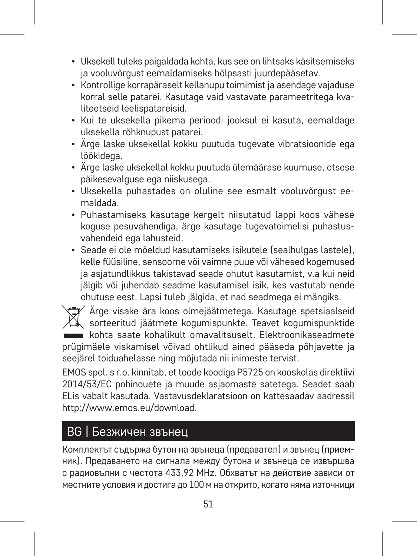- Uksekell tuleks paigaldada kohta, kus see on lihtsaks käsitsemiseks ja vooluvõrgust eemaldamiseks hõlpsasti juurdepääsetav.
- Kontrollige korrapäraselt kellanupu toimimist ja asendage vajaduse korral selle patarei. Kasutage vaid vastavate parameetritega kvaliteetseid leelispatareisid.
- Kui te uksekella pikema perioodi jooksul ei kasuta, eemaldage uksekella rõhknupust patarei.
- Ärge laske uksekellal kokku puutuda tugevate vibratsioonide ega löökidega.
- Ärge laske uksekellal kokku puutuda ülemäärase kuumuse, otsese päikesevalguse ega niiskusega.
- Uksekella puhastades on oluline see esmalt vooluvõrgust eemaldada.
- Puhastamiseks kasutage kergelt niisutatud lappi koos vähese koguse pesuvahendiga, ärge kasutage tugevatoimelisi puhastusvahendeid ega lahusteid.
- Seade ei ole mõeldud kasutamiseks isikutele (sealhulgas lastele), kelle füüsiline, sensoorne või vaimne puue või vähesed kogemused ja asjatundlikkus takistavad seade ohutut kasutamist, v.a kui neid jälgib või juhendab seadme kasutamisel isik, kes vastutab nende ohutuse eest. Lapsi tuleb jälgida, et nad seadmega ei mängiks.

Ärge visake ära koos olmejäätmetega. Kasutage spetsiaalseid sorteeritud jäätmete kogumispunkte. Teavet kogumispunktide kohta saate kohalikult omavalitsuselt. Elektroonikaseadmete prügimäele viskamisel võivad ohtlikud ained pääseda põhjavette ja seejärel toiduahelasse ning mõjutada nii inimeste tervist.

EMOS spol. s r.o. kinnitab, et toode koodiga P5725 on kooskolas direktiivi 2014/53/EC pohinouete ja muude asjaomaste satetega. Seadet saab ELis vabalt kasutada. Vastavusdeklaratsioon on kattesaadav aadressil http://www.emos.eu/download.

# BG | Безжичен звънец

Комплектът съдържа бутон на звънеца (предавател) и звънец (приемник). Предаването на сигнала между бутона и звънеца се извършва с радиовълни с честота 433,92 MHz. Обхватът на действие зависи от местните условия и достига до 100 м на открито, когато няма източници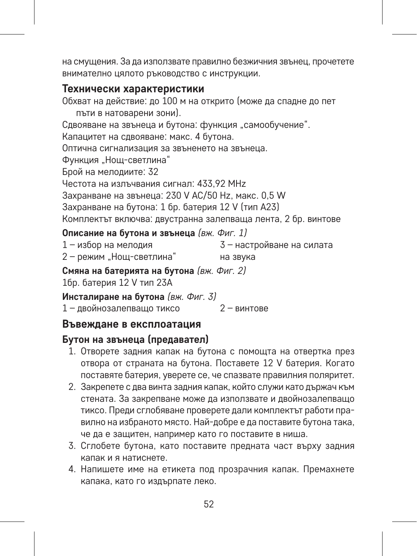на смущения. За да използвате правилно безжичния звънец, прочетете внимателно цялото ръководство с инструкции.

#### **Технически характеристики**

Обхват на действие: до 100 м на открито (може да спадне до пет пъти в натоварени зони). Сдвояване на звънеца и бутона: функция "самообучение". Капацитет на сдвояване: макс. 4 бутона. Оптична сигнализация за звъненето на звънеца. Функция "Нощ-светлина" Брой на мелодиите: 32 Честота на излъчвания сигнал: 433,92 MHz Захранване на звънеца: 230 V AC/50 Hz, макс. 0,5 W Захранване на бутона: 1 бр. батерия 12 V (тип A23) Комплектът включва: двустранна залепваща лента, 2 бр. винтове

## **Описание на бутона и звънеца** *(вж. Фиг. 1)*

| 1 - избор на мелодия     | 3 - настройване на силата |
|--------------------------|---------------------------|
| 2 - режим "Нощ-светлина" | на звука                  |

**Смяна на батерията на бутона** *(вж. Фиг. 2)*

1бр. батерия 12 V тип 23A

**Инсталиране на бутона** *(вж. Фиг. 3)*

1 – двойнозалепващо тиксо 2 – винтове

#### **Въвеждане в експлоатация**

#### **Бутон на звънеца (предавател)**

- 1. Отворете задния капак на бутона с помощта на отвертка през отвора от страната на бутона. Поставете 12 V батерия. Когато поставяте батерия, уверете се, че спазвате правилния поляритет.
- 2. Закрепете с два винта задния капак, който служи като държач към стената. За закрепване може да използвате и двойнозалепващо тиксо. Преди сглобяване проверете дали комплектът работи правилно на избраното място. Най-добре е да поставите бутона така, че да е защитен, например като го поставите в ниша.
- 3. Сглобете бутона, като поставите предната част върху задния капак и я натиснете.
- 4. Напишете име на етикета под прозрачния капак. Премахнете капака, като го издърпате леко.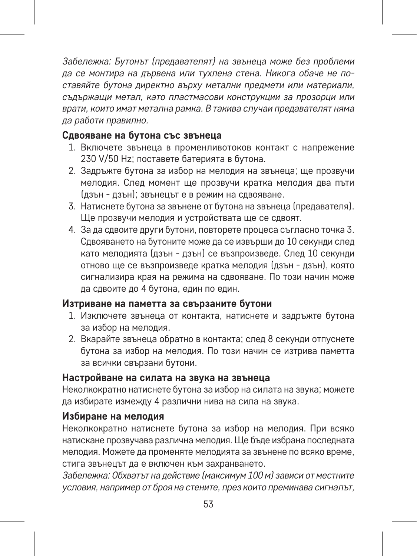*Забележка: Бутонът (предавателят) на звънеца може без проблеми да се монтира на дървена или тухлена стена. Никога обаче не поставяйте бутона директно върху метални предмети или материали, съдържащи метал, като пластмасови конструкции за прозорци или врати, които имат метална рамка. В такива случаи предавателят няма да работи правилно.* 

#### **Сдвояване на бутона със звънеца**

- 1. Включете звънеца в променливотоков контакт с напрежение 230 V/50 Hz; поставете батерията в бутона.
- 2. Задръжте бутона за избор на мелодия на звънеца; ще прозвучи мелодия. След момент ще прозвучи кратка мелодия два пъти (дзън - дзън); звънецът е в режим на сдвояване.
- 3. Натиснете бутона за звънене от бутона на звънеца (предавателя). Ще прозвучи мелодия и устройствата ще се сдвоят.
- 4. За да сдвоите други бутони, повторете процеса съгласно точка 3. Сдвояването на бутоните може да се извърши до 10 секунди след като мелодията (дзън - дзън) се възпроизведе. След 10 секунди отново ще се възпроизведе кратка мелодия (дзън - дзън), която сигнализира края на режима на сдвояване. По този начин може да сдвоите до 4 бутона, един по един.

#### **Изтриване на паметта за свързаните бутони**

- 1. Изключете звънеца от контакта, натиснете и задръжте бутона за избор на мелодия.
- 2. Вкарайте звънеца обратно в контакта; след 8 секунди отпуснете бутона за избор на мелодия. По този начин се изтрива паметта за всички свързани бутони.

#### **Настройване на силата на звука на звънеца**

Неколкократно натиснете бутона за избор на силата на звука; можете да избирате измежду 4 различни нива на сила на звука.

#### **Избиране на мелодия**

Неколкократно натиснете бутона за избор на мелодия. При всяко натискане прозвучава различна мелодия. Ще бъде избрана последната мелодия. Можете да променяте мелодията за звънене по всяко време, стига звънецът да е включен към захранването.

*Забележка: Обхватът на действие (максимум 100 м) зависи от местните условия, например от броя на стените, през които преминава сигналът,*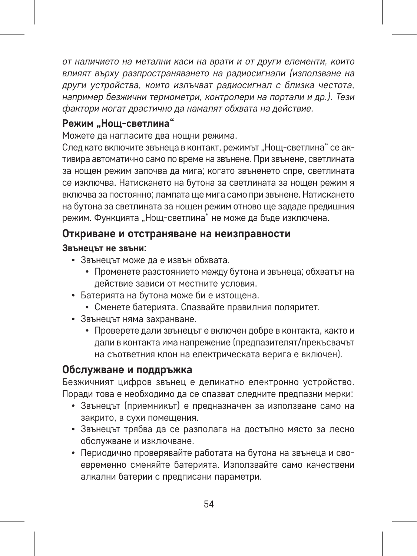*от наличието на метални каси на врати и от други елементи, които влияят върху разпространяването на радиосигнали (използване на други устройства, които излъчват радиосигнал с близка честота, например безжични термометри, контролери на портали и др.). Тези фактори могат драстично да намалят обхвата на действие.*

#### **Режим "Нощ-светлина"**

Можете да нагласите два нощни режима.

След като включите звънеца в контакт, режимът "Нощ-светлина" се активира автоматично само по време на звънене. При звънене, светлината за нощен режим започва да мига; когато звъненето спре, светлината се изключва. Натискането на бутона за светлината за нощен режим я включва за постоянно; лампата ще мига само при звънене. Натискането на бутона за светлината за нощен режим отново ще зададе предишния режим. Функцията "Нош-светлина" не може да бъде изключена.

#### **Откриване и отстраняване на неизправности**

#### **Звънецът не звъни:**

- Звънецът може да е извън обхвата.
	- Променете разстоянието между бутона и звънеца; обхватът на действие зависи от местните условия.
- Батерията на бутона може би е изтощена.
	- Сменете батерията. Спазвайте правилния поляритет.
- Звънецът няма захранване.
	- Проверете дали звънецът е включен добре в контакта, както и дали в контакта има напрежение (предпазителят/прекъсвачът на съответния клон на електрическата верига е включен).

#### **Обслужване и поддръжка**

Безжичният цифров звънец е деликатно електронно устройство. Поради това е необходимо да се спазват следните предпазни мерки:

- Звънецът (приемникът) е предназначен за използване само на закрито, в сухи помещения.
- Звънецът трябва да се разполага на достъпно място за лесно обслужване и изключване.
- Периодично проверявайте работата на бутона на звънеца и своевременно сменяйте батерията. Използвайте само качествени алкални батерии с предписани параметри.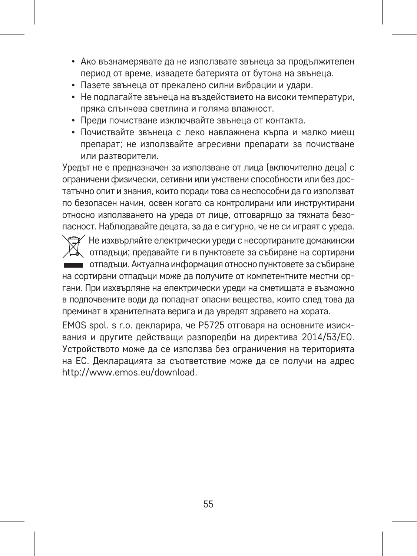- Ако възнамерявате да не използвате звънеца за продължителен период от време, извадете батерията от бутона на звънеца.
- Пазете звънеца от прекалено силни вибрации и удари.
- Не подлагайте звънеца на въздействието на високи температури, пряка слънчева светлина и голяма влажност.
- Преди почистване изключвайте звънеца от контакта.
- Почиствайте звънеца с леко навлажнена кърпа и малко миещ препарат; не използвайте агресивни препарати за почистване или разтворители.

Уредът не е предназначен за използване от лица (включително деца) с ограничени физически, сетивни или умствени способности или без достатъчно опит и знания, които поради това са неспособни да го използват по безопасен начин, освен когато са контролирани или инструктирани относно използването на уреда от лице, отговарящо за тяхната безопасност. Наблюдавайте децата, за да е сигурно, че не си играят с уреда.

Не изхвърляйте електрически уреди с несортираните домакински отпадъци; предавайте ги в пунктовете за събиране на сортирани отпадъци. Актуална информация относно пунктовете за събиране на сортирани отпадъци може да получите от компетентните местни органи. При изхвърляне на електрически уреди на сметищата е възможно в подпочвените води да попаднат опасни вещества, които след това да преминат в хранителната верига и да увредят здравето на хората.

EMOS spol. s r.o. декларира, че P5725 отговаря на основните изисквания и другите действащи разпоредби на директива 2014/53/ЕО. Устройството може да се използва без ограничения на територията на ЕС. Декларацията за съответствие може да се получи на адрес http://www.emos.eu/download.